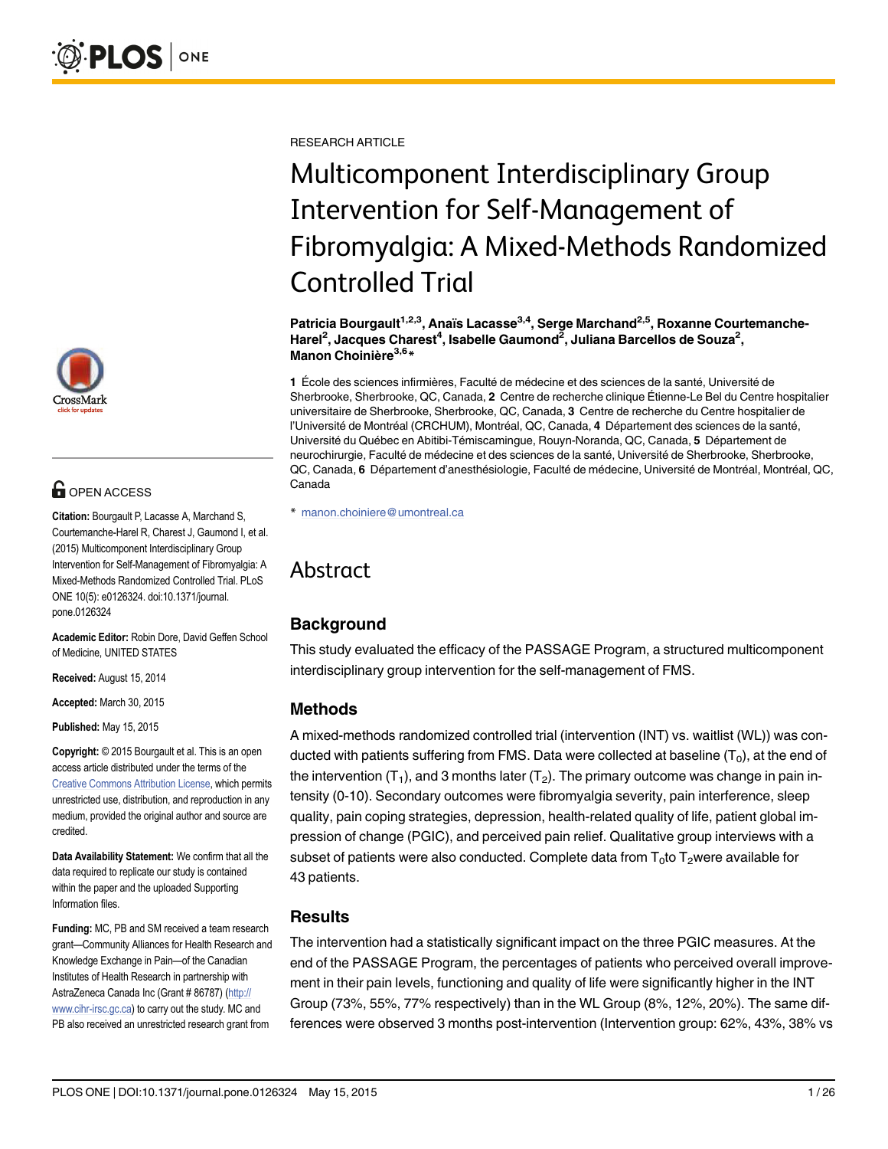

# **OPEN ACCESS**

Citation: Bourgault P, Lacasse A, Marchand S, Courtemanche-Harel R, Charest J, Gaumond I, et al. (2015) Multicomponent Interdisciplinary Group Intervention for Self-Management of Fibromyalgia: A Mixed-Methods Randomized Controlled Trial. PLoS ONE 10(5): e0126324. doi:10.1371/journal. pone.0126324

Academic Editor: Robin Dore, David Geffen School of Medicine, UNITED STATES

Received: August 15, 2014

Accepted: March 30, 2015

Published: May 15, 2015

Copyright: © 2015 Bourgault et al. This is an open access article distributed under the terms of the [Creative Commons Attribution License,](http://creativecommons.org/licenses/by/4.0/) which permits unrestricted use, distribution, and reproduction in any medium, provided the original author and source are credited.

Data Availability Statement: We confirm that all the data required to replicate our study is contained within the paper and the uploaded Supporting Information files.

Funding: MC, PB and SM received a team research grant—Community Alliances for Health Research and Knowledge Exchange in Pain—of the Canadian Institutes of Health Research in partnership with AstraZeneca Canada Inc (Grant # 86787) [\(http://](http://www.cihr-irsc.gc.ca) [www.cihr-irsc.gc.ca\)](http://www.cihr-irsc.gc.ca) to carry out the study. MC and PB also received an unrestricted research grant from

RESEARCH ARTICLE

# Multicomponent Interdisciplinary Group Intervention for Self-Management of Fibromyalgia: A Mixed-Methods Randomized Controlled Trial

Patricia Bourgault<sup>1,2,3</sup>, Anaïs Lacasse<sup>3,4</sup>, Serge Marchand<sup>2,5</sup>, Roxanne Courtemanche-Harel<sup>2</sup>, Jacques Charest<sup>4</sup>, Isabelle Gaumond<sup>2</sup>, Juliana Barcellos de Souza<sup>2</sup>, Manon Choinière<sup>3,6\*</sup>

1 École des sciences infirmières, Faculté de médecine et des sciences de la santé, Université de Sherbrooke, Sherbrooke, QC, Canada, 2 Centre de recherche clinique Étienne-Le Bel du Centre hospitalier universitaire de Sherbrooke, Sherbrooke, QC, Canada, 3 Centre de recherche du Centre hospitalier de l'Université de Montréal (CRCHUM), Montréal, QC, Canada, 4 Département des sciences de la santé, Université du Québec en Abitibi-Témiscamingue, Rouyn-Noranda, QC, Canada, 5 Département de neurochirurgie, Faculté de médecine et des sciences de la santé, Université de Sherbrooke, Sherbrooke, QC, Canada, 6 Département d'anesthésiologie, Faculté de médecine, Université de Montréal, Montréal, QC, Canada

\* manon.choiniere@umontreal.ca

# Abstract

# **Background**

This study evaluated the efficacy of the PASSAGE Program, a structured multicomponent interdisciplinary group intervention for the self-management of FMS.

# Methods

A mixed-methods randomized controlled trial (intervention (INT) vs. waitlist (WL)) was conducted with patients suffering from FMS. Data were collected at baseline  $(T_0)$ , at the end of the intervention  $(T_1)$ , and 3 months later  $(T_2)$ . The primary outcome was change in pain intensity (0-10). Secondary outcomes were fibromyalgia severity, pain interference, sleep quality, pain coping strategies, depression, health-related quality of life, patient global impression of change (PGIC), and perceived pain relief. Qualitative group interviews with a subset of patients were also conducted. Complete data from  $T_0$  to  $T_2$  were available for 43 patients.

# **Results**

The intervention had a statistically significant impact on the three PGIC measures. At the end of the PASSAGE Program, the percentages of patients who perceived overall improvement in their pain levels, functioning and quality of life were significantly higher in the INT Group (73%, 55%, 77% respectively) than in the WL Group (8%, 12%, 20%). The same differences were observed 3 months post-intervention (Intervention group: 62%, 43%, 38% vs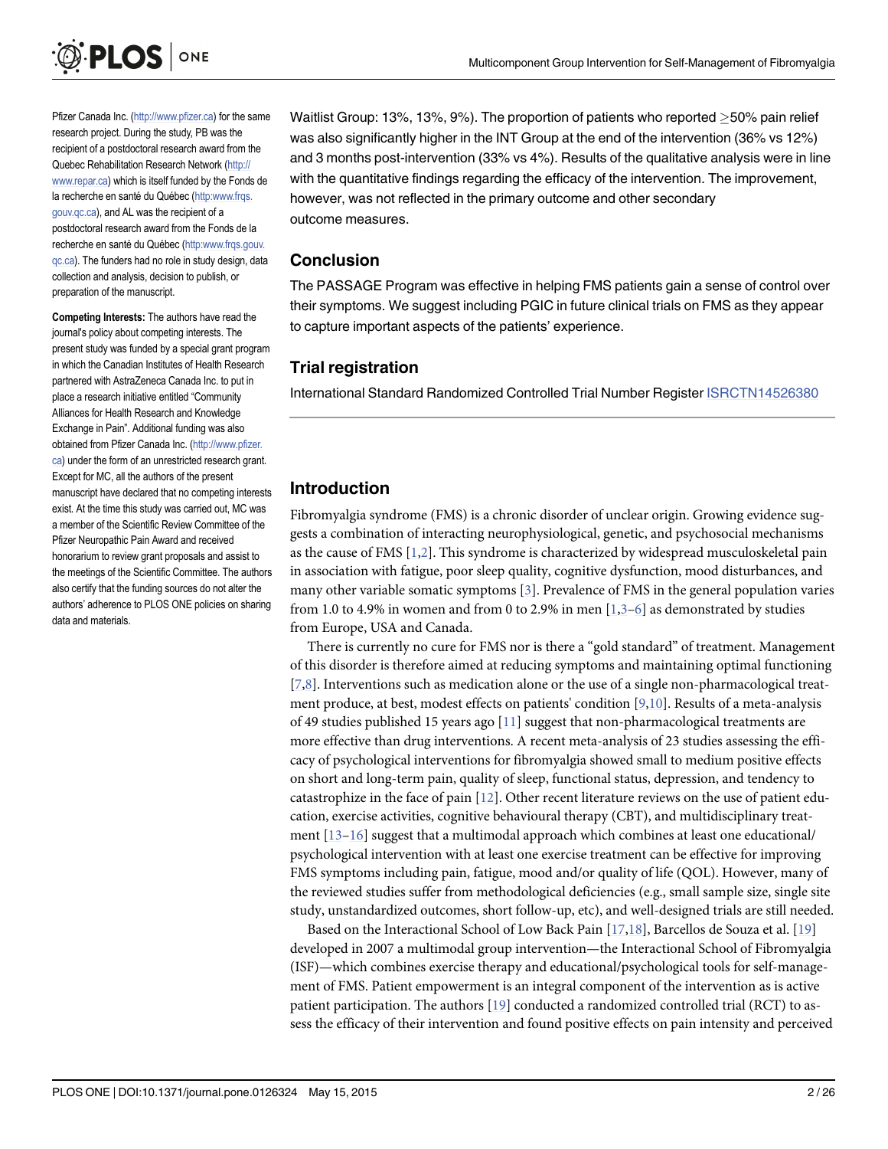<span id="page-1-0"></span>

Pfizer Canada Inc. [\(http://www.pfizer.ca](http://www.pfizer.ca)) for the same research project. During the study, PB was the recipient of a postdoctoral research award from the Quebec Rehabilitation Research Network [\(http://](http://www.repar.ca) [www.repar.ca](http://www.repar.ca)) which is itself funded by the Fonds de la recherche en santé du Québec [\(http:www.frqs.](http://www.frqs.gouv.qc.ca) [gouv.qc.ca](http://www.frqs.gouv.qc.ca)), and AL was the recipient of a postdoctoral research award from the Fonds de la recherche en santé du Québec ([http:www.frqs.gouv.](http://www.frqs.gouv.qc.ca) [qc.ca](http://www.frqs.gouv.qc.ca)). The funders had no role in study design, data collection and analysis, decision to publish, or preparation of the manuscript.

Competing Interests: The authors have read the journal's policy about competing interests. The present study was funded by a special grant program in which the Canadian Institutes of Health Research partnered with AstraZeneca Canada Inc. to put in place a research initiative entitled "Community Alliances for Health Research and Knowledge Exchange in Pain". Additional funding was also obtained from Pfizer Canada Inc. [\(http://www.pfizer.](http://www.pfizer.ca) [ca\)](http://www.pfizer.ca) under the form of an unrestricted research grant. Except for MC, all the authors of the present manuscript have declared that no competing interests exist. At the time this study was carried out, MC was a member of the Scientific Review Committee of the Pfizer Neuropathic Pain Award and received honorarium to review grant proposals and assist to the meetings of the Scientific Committee. The authors also certify that the funding sources do not alter the authors' adherence to PLOS ONE policies on sharing data and materials.

Waitlist Group: 13%, 13%, 9%). The proportion of patients who reported  $\geq$  50% pain relief was also significantly higher in the INT Group at the end of the intervention (36% vs 12%) and 3 months post-intervention (33% vs 4%). Results of the qualitative analysis were in line with the quantitative findings regarding the efficacy of the intervention. The improvement, however, was not reflected in the primary outcome and other secondary outcome measures.

#### Conclusion

The PASSAGE Program was effective in helping FMS patients gain a sense of control over their symptoms. We suggest including PGIC in future clinical trials on FMS as they appear to capture important aspects of the patients' experience.

# Trial registration

International Standard Randomized Controlled Trial Number Register [ISRCTN14526380](http://www.controlled-trials.com/ISRCTN14526380)

# Introduction

Fibromyalgia syndrome (FMS) is a chronic disorder of unclear origin. Growing evidence suggests a combination of interacting neurophysiological, genetic, and psychosocial mechanisms as the cause of FMS [\[1,2](#page-22-0)]. This syndrome is characterized by widespread musculoskeletal pain in association with fatigue, poor sleep quality, cognitive dysfunction, mood disturbances, and many other variable somatic symptoms [[3\]](#page-22-0). Prevalence of FMS in the general population varies from 1.0 to 4.9% in women and from 0 to 2.9% in men  $[1,3-6]$  $[1,3-6]$  $[1,3-6]$  $[1,3-6]$  as demonstrated by studies from Europe, USA and Canada.

There is currently no cure for FMS nor is there a "gold standard" of treatment. Management of this disorder is therefore aimed at reducing symptoms and maintaining optimal functioning  $[7,8]$  $[7,8]$ . Interventions such as medication alone or the use of a single non-pharmacological treatment produce, at best, modest effects on patients' condition [[9](#page-22-0),[10](#page-22-0)]. Results of a meta-analysis of 49 studies published 15 years ago [[11](#page-23-0)] suggest that non-pharmacological treatments are more effective than drug interventions. A recent meta-analysis of 23 studies assessing the efficacy of psychological interventions for fibromyalgia showed small to medium positive effects on short and long-term pain, quality of sleep, functional status, depression, and tendency to catastrophize in the face of pain  $[12]$ . Other recent literature reviews on the use of patient education, exercise activities, cognitive behavioural therapy (CBT), and multidisciplinary treatment  $[13-16]$  $[13-16]$  $[13-16]$  suggest that a multimodal approach which combines at least one educational/ psychological intervention with at least one exercise treatment can be effective for improving FMS symptoms including pain, fatigue, mood and/or quality of life (QOL). However, many of the reviewed studies suffer from methodological deficiencies (e.g., small sample size, single site study, unstandardized outcomes, short follow-up, etc), and well-designed trials are still needed.

Based on the Interactional School of Low Back Pain [[17,18\]](#page-23-0), Barcellos de Souza et al. [\[19\]](#page-23-0) developed in 2007 a multimodal group intervention—the Interactional School of Fibromyalgia (ISF)—which combines exercise therapy and educational/psychological tools for self-management of FMS. Patient empowerment is an integral component of the intervention as is active patient participation. The authors [\[19](#page-23-0)] conducted a randomized controlled trial (RCT) to assess the efficacy of their intervention and found positive effects on pain intensity and perceived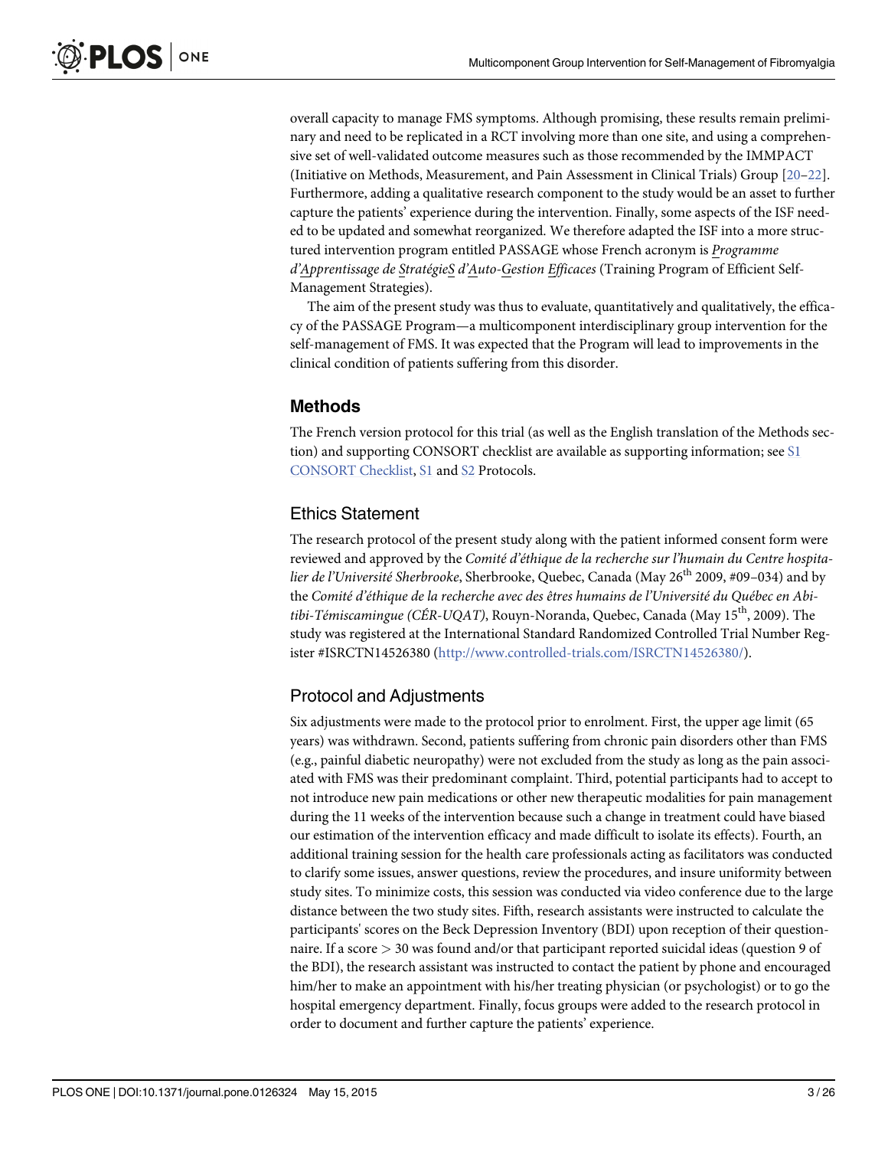<span id="page-2-0"></span>overall capacity to manage FMS symptoms. Although promising, these results remain preliminary and need to be replicated in a RCT involving more than one site, and using a comprehensive set of well-validated outcome measures such as those recommended by the IMMPACT (Initiative on Methods, Measurement, and Pain Assessment in Clinical Trials) Group [[20](#page-23-0)–[22\]](#page-23-0). Furthermore, adding a qualitative research component to the study would be an asset to further capture the patients' experience during the intervention. Finally, some aspects of the ISF needed to be updated and somewhat reorganized. We therefore adapted the ISF into a more structured intervention program entitled PASSAGE whose French acronym is Programme d'Apprentissage de StratégieS d'Auto-Gestion Efficaces (Training Program of Efficient Self-Management Strategies).

The aim of the present study was thus to evaluate, quantitatively and qualitatively, the efficacy of the PASSAGE Program—a multicomponent interdisciplinary group intervention for the self-management of FMS. It was expected that the Program will lead to improvements in the clinical condition of patients suffering from this disorder.

#### Methods

The French version protocol for this trial (as well as the English translation of the Methods section) and supporting CONSORT checklist are available as supporting information; see [S1](#page-21-0) [CONSORT Checklist,](#page-21-0) [S1](#page-22-0) and [S2](#page-22-0) Protocols.

#### Ethics Statement

The research protocol of the present study along with the patient informed consent form were reviewed and approved by the Comité d'éthique de la recherche sur l'humain du Centre hospitalier de l'Université Sherbrooke, Sherbrooke, Quebec, Canada (May  $26^{th}$  2009, #09–034) and by the Comité d'éthique de la recherche avec des êtres humains de l'Université du Québec en Abitibi-Témiscamingue (CÉR-UQAT), Rouyn-Noranda, Quebec, Canada (May 15<sup>th</sup>, 2009). The study was registered at the International Standard Randomized Controlled Trial Number Register #ISRCTN14526380 [\(http://www.controlled-trials.com/ISRCTN14526380/\)](http://www.controlled-trials.com/ISRCTN14526380/).

#### Protocol and Adjustments

Six adjustments were made to the protocol prior to enrolment. First, the upper age limit (65 years) was withdrawn. Second, patients suffering from chronic pain disorders other than FMS (e.g., painful diabetic neuropathy) were not excluded from the study as long as the pain associated with FMS was their predominant complaint. Third, potential participants had to accept to not introduce new pain medications or other new therapeutic modalities for pain management during the 11 weeks of the intervention because such a change in treatment could have biased our estimation of the intervention efficacy and made difficult to isolate its effects). Fourth, an additional training session for the health care professionals acting as facilitators was conducted to clarify some issues, answer questions, review the procedures, and insure uniformity between study sites. To minimize costs, this session was conducted via video conference due to the large distance between the two study sites. Fifth, research assistants were instructed to calculate the participants' scores on the Beck Depression Inventory (BDI) upon reception of their questionnaire. If a score > 30 was found and/or that participant reported suicidal ideas (question 9 of the BDI), the research assistant was instructed to contact the patient by phone and encouraged him/her to make an appointment with his/her treating physician (or psychologist) or to go the hospital emergency department. Finally, focus groups were added to the research protocol in order to document and further capture the patients' experience.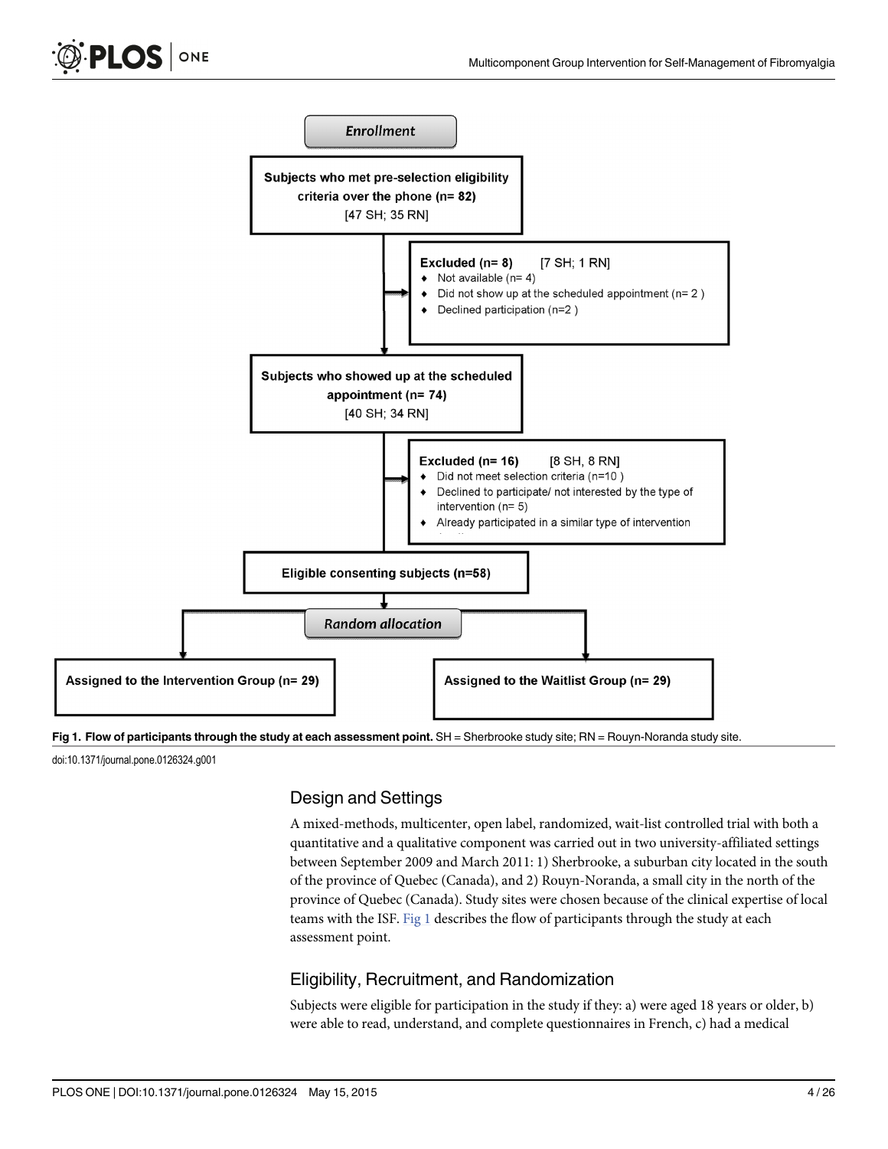<span id="page-3-0"></span>

Fig 1. Flow of participants through the study at each assessment point. SH = Sherbrooke study site; RN = Rouyn-Noranda study site.

doi:10.1371/journal.pone.0126324.g001

# Design and Settings

A mixed-methods, multicenter, open label, randomized, wait-list controlled trial with both a quantitative and a qualitative component was carried out in two university-affiliated settings between September 2009 and March 2011: 1) Sherbrooke, a suburban city located in the south of the province of Quebec (Canada), and 2) Rouyn-Noranda, a small city in the north of the province of Quebec (Canada). Study sites were chosen because of the clinical expertise of local teams with the ISF. Fig 1 describes the flow of participants through the study at each assessment point.

# Eligibility, Recruitment, and Randomization

Subjects were eligible for participation in the study if they: a) were aged 18 years or older, b) were able to read, understand, and complete questionnaires in French, c) had a medical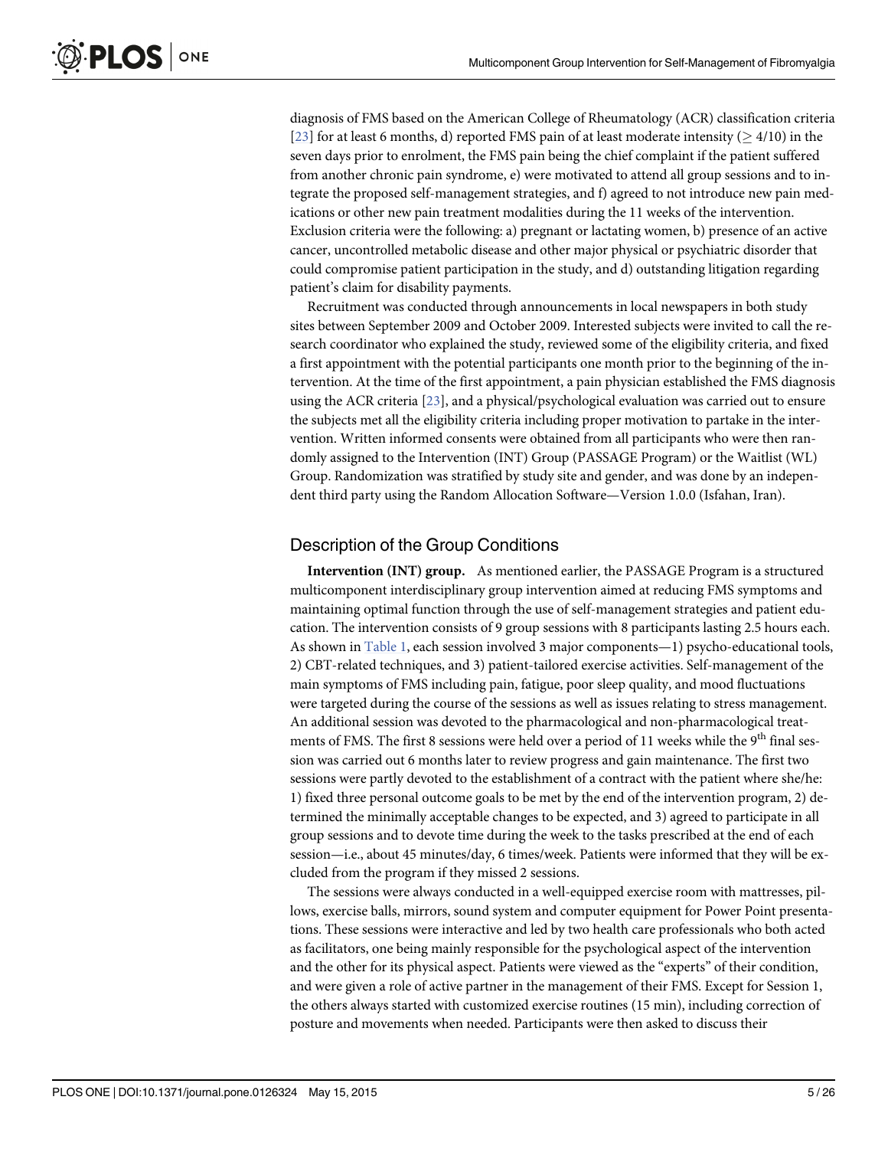<span id="page-4-0"></span>diagnosis of FMS based on the American College of Rheumatology (ACR) classification criteria [\[23](#page-23-0)] for at least 6 months, d) reported FMS pain of at least moderate intensity ( $\geq$  4/10) in the seven days prior to enrolment, the FMS pain being the chief complaint if the patient suffered from another chronic pain syndrome, e) were motivated to attend all group sessions and to integrate the proposed self-management strategies, and f) agreed to not introduce new pain medications or other new pain treatment modalities during the 11 weeks of the intervention. Exclusion criteria were the following: a) pregnant or lactating women, b) presence of an active cancer, uncontrolled metabolic disease and other major physical or psychiatric disorder that could compromise patient participation in the study, and d) outstanding litigation regarding patient's claim for disability payments.

Recruitment was conducted through announcements in local newspapers in both study sites between September 2009 and October 2009. Interested subjects were invited to call the research coordinator who explained the study, reviewed some of the eligibility criteria, and fixed a first appointment with the potential participants one month prior to the beginning of the intervention. At the time of the first appointment, a pain physician established the FMS diagnosis using the ACR criteria [\[23\]](#page-23-0), and a physical/psychological evaluation was carried out to ensure the subjects met all the eligibility criteria including proper motivation to partake in the intervention. Written informed consents were obtained from all participants who were then randomly assigned to the Intervention (INT) Group (PASSAGE Program) or the Waitlist (WL) Group. Randomization was stratified by study site and gender, and was done by an independent third party using the Random Allocation Software—Version 1.0.0 (Isfahan, Iran).

# Description of the Group Conditions

Intervention (INT) group. As mentioned earlier, the PASSAGE Program is a structured multicomponent interdisciplinary group intervention aimed at reducing FMS symptoms and maintaining optimal function through the use of self-management strategies and patient education. The intervention consists of 9 group sessions with 8 participants lasting 2.5 hours each. As shown in [Table 1,](#page-5-0) each session involved 3 major components—1) psycho-educational tools, 2) CBT-related techniques, and 3) patient-tailored exercise activities. Self-management of the main symptoms of FMS including pain, fatigue, poor sleep quality, and mood fluctuations were targeted during the course of the sessions as well as issues relating to stress management. An additional session was devoted to the pharmacological and non-pharmacological treatments of FMS. The first 8 sessions were held over a period of 11 weeks while the 9<sup>th</sup> final session was carried out 6 months later to review progress and gain maintenance. The first two sessions were partly devoted to the establishment of a contract with the patient where she/he: 1) fixed three personal outcome goals to be met by the end of the intervention program, 2) determined the minimally acceptable changes to be expected, and 3) agreed to participate in all group sessions and to devote time during the week to the tasks prescribed at the end of each session—i.e., about 45 minutes/day, 6 times/week. Patients were informed that they will be excluded from the program if they missed 2 sessions.

The sessions were always conducted in a well-equipped exercise room with mattresses, pillows, exercise balls, mirrors, sound system and computer equipment for Power Point presentations. These sessions were interactive and led by two health care professionals who both acted as facilitators, one being mainly responsible for the psychological aspect of the intervention and the other for its physical aspect. Patients were viewed as the "experts" of their condition, and were given a role of active partner in the management of their FMS. Except for Session 1, the others always started with customized exercise routines (15 min), including correction of posture and movements when needed. Participants were then asked to discuss their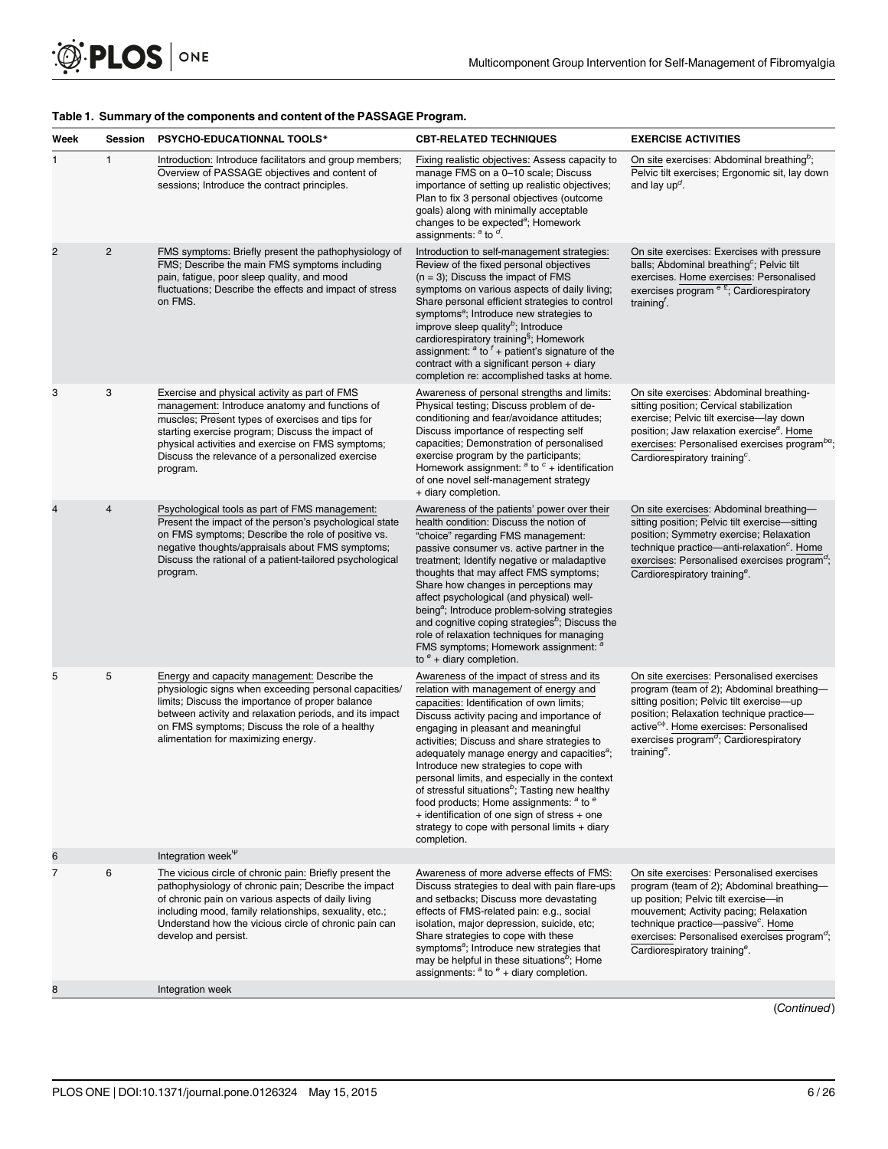| Week           | Session        | <b>PSYCHO-EDUCATIONNAL TOOLS*</b>                                                                                                                                                                                                                                                                                            | <b>CBT-RELATED TECHNIQUES</b>                                                                                                                                                                                                                                                                                                                                                                                                                                                                                                                                                                                                                                           | <b>EXERCISE ACTIVITIES</b>                                                                                                                                                                                                                                                                                                          |
|----------------|----------------|------------------------------------------------------------------------------------------------------------------------------------------------------------------------------------------------------------------------------------------------------------------------------------------------------------------------------|-------------------------------------------------------------------------------------------------------------------------------------------------------------------------------------------------------------------------------------------------------------------------------------------------------------------------------------------------------------------------------------------------------------------------------------------------------------------------------------------------------------------------------------------------------------------------------------------------------------------------------------------------------------------------|-------------------------------------------------------------------------------------------------------------------------------------------------------------------------------------------------------------------------------------------------------------------------------------------------------------------------------------|
|                | 1              | Introduction: Introduce facilitators and group members;<br>Overview of PASSAGE objectives and content of<br>sessions; Introduce the contract principles.                                                                                                                                                                     | Fixing realistic objectives: Assess capacity to<br>manage FMS on a 0-10 scale; Discuss<br>importance of setting up realistic objectives;<br>Plan to fix 3 personal objectives (outcome<br>goals) along with minimally acceptable<br>changes to be expected <sup>a</sup> ; Homework<br>assignments: $a$ to $a$ .                                                                                                                                                                                                                                                                                                                                                         | On site exercises: Abdominal breathing <sup>b</sup> ;<br>Pelvic tilt exercises; Ergonomic sit, lay down<br>and lay $up^d$ .                                                                                                                                                                                                         |
| $\overline{2}$ | $\overline{c}$ | FMS symptoms: Briefly present the pathophysiology of<br>FMS; Describe the main FMS symptoms including<br>pain, fatigue, poor sleep quality, and mood<br>fluctuations; Describe the effects and impact of stress<br>on FMS.                                                                                                   | Introduction to self-management strategies:<br>Review of the fixed personal objectives<br>$(n = 3)$ ; Discuss the impact of FMS<br>symptoms on various aspects of daily living;<br>Share personal efficient strategies to control<br>symptoms <sup>a</sup> ; Introduce new strategies to<br>improve sleep quality <sup>b</sup> ; Introduce<br>cardiorespiratory training <sup>§</sup> ; Homework<br>assignment: $a$ to $f$ + patient's signature of the<br>contract with a significant person + diary<br>completion re: accomplished tasks at home.                                                                                                                     | On site exercises: Exercises with pressure<br>balls; Abdominal breathing <sup>c</sup> ; Pelvic tilt<br>exercises. Home exercises: Personalised<br>exercises program $e^{E}$ ; Cardiorespiratory<br>training <sup><math>\overline{a}</math></sup> .                                                                                  |
| 3              | 3              | Exercise and physical activity as part of FMS<br>management: Introduce anatomy and functions of<br>muscles; Present types of exercises and tips for<br>starting exercise program; Discuss the impact of<br>physical activities and exercise on FMS symptoms;<br>Discuss the relevance of a personalized exercise<br>program. | Awareness of personal strengths and limits:<br>Physical testing; Discuss problem of de-<br>conditioning and fear/avoidance attitudes;<br>Discuss importance of respecting self<br>capacities; Demonstration of personalised<br>exercise program by the participants;<br>Homework assignment: $a$ to $c$ + identification<br>of one novel self-management strategy<br>+ diary completion.                                                                                                                                                                                                                                                                                | On site exercises: Abdominal breathing-<br>sitting position; Cervical stabilization<br>exercise; Pelvic tilt exercise-lay down<br>position; Jaw relaxation exercise <sup>a</sup> . Home<br>exercises: Personalised exercises program $b^{\alpha}$ ;<br>Cardiorespiratory training <sup>c</sup> .                                    |
| 4              | 4              | Psychological tools as part of FMS management:<br>Present the impact of the person's psychological state<br>on FMS symptoms; Describe the role of positive vs.<br>negative thoughts/appraisals about FMS symptoms;<br>Discuss the rational of a patient-tailored psychological<br>program.                                   | Awareness of the patients' power over their<br>health condition: Discuss the notion of<br>"choice" regarding FMS management:<br>passive consumer vs. active partner in the<br>treatment; Identify negative or maladaptive<br>thoughts that may affect FMS symptoms;<br>Share how changes in perceptions may<br>affect psychological (and physical) well-<br>being <sup>a</sup> ; Introduce problem-solving strategies<br>and cognitive coping strategies <sup>b</sup> ; Discuss the<br>role of relaxation techniques for managing<br>FMS symptoms; Homework assignment: a<br>to $e$ + diary completion.                                                                 | On site exercises: Abdominal breathing-<br>sitting position; Pelvic tilt exercise-sitting<br>position; Symmetry exercise; Relaxation<br>technique practice—anti-relaxation <sup>c</sup> . Home<br>exercises: Personalised exercises program <sup>a</sup> ;<br>Cardiorespiratory training <sup>e</sup> .                             |
| 5              | 5              | Energy and capacity management: Describe the<br>physiologic signs when exceeding personal capacities/<br>limits; Discuss the importance of proper balance<br>between activity and relaxation periods, and its impact<br>on FMS symptoms; Discuss the role of a healthy<br>alimentation for maximizing energy.                | Awareness of the impact of stress and its<br>relation with management of energy and<br>capacities: Identification of own limits;<br>Discuss activity pacing and importance of<br>engaging in pleasant and meaningful<br>activities; Discuss and share strategies to<br>adequately manage energy and capacities <sup>a</sup> ;<br>Introduce new strategies to cope with<br>personal limits, and especially in the context<br>of stressful situations <sup>b</sup> ; Tasting new healthy<br>food products; Home assignments: <sup>a</sup> to <sup>e</sup><br>+ identification of one sign of stress + one<br>strategy to cope with personal limits + diary<br>completion. | On site exercises: Personalised exercises<br>program (team of 2); Abdominal breathing-<br>sitting position; Pelvic tilt exercise-up<br>position; Relaxation technique practice-<br>active <sup>c®</sup> . Home exercises: Personalised<br>exercises program <sup>d</sup> ; Cardiorespiratory<br>training $e$ .                      |
| 6              |                | Integration week <sup>\v</sup>                                                                                                                                                                                                                                                                                               |                                                                                                                                                                                                                                                                                                                                                                                                                                                                                                                                                                                                                                                                         |                                                                                                                                                                                                                                                                                                                                     |
| $\overline{7}$ | 6              | The vicious circle of chronic pain: Briefly present the<br>pathophysiology of chronic pain; Describe the impact<br>of chronic pain on various aspects of daily living<br>including mood, family relationships, sexuality, etc.;<br>Understand how the vicious circle of chronic pain can<br>develop and persist.             | Awareness of more adverse effects of FMS:<br>Discuss strategies to deal with pain flare-ups<br>and setbacks: Discuss more devastating<br>effects of FMS-related pain: e.g., social<br>isolation, major depression, suicide, etc;<br>Share strategies to cope with these<br>symptoms <sup>a</sup> ; Introduce new strategies that<br>may be helpful in these situations <sup>b</sup> ; Home<br>assignments: $a$ to $e$ + diary completion.                                                                                                                                                                                                                               | On site exercises: Personalised exercises<br>program (team of 2); Abdominal breathing-<br>up position; Pelvic tilt exercise-in<br>mouvement; Activity pacing; Relaxation<br>technique practice-passive <sup>c</sup> . Home<br>exercises: Personalised exercises program <sup>a</sup> ;<br>Cardiorespiratory training <sup>e</sup> . |
| 8              |                | Integration week                                                                                                                                                                                                                                                                                                             |                                                                                                                                                                                                                                                                                                                                                                                                                                                                                                                                                                                                                                                                         |                                                                                                                                                                                                                                                                                                                                     |
|                |                |                                                                                                                                                                                                                                                                                                                              |                                                                                                                                                                                                                                                                                                                                                                                                                                                                                                                                                                                                                                                                         | (Continued)                                                                                                                                                                                                                                                                                                                         |

#### <span id="page-5-0"></span>[Table 1.](#page-4-0) Summary of the components and content of the PASSAGE Program.

PLOS ONE | DOI:10.1371/journal.pone.0126324 May 15, 2015 6/26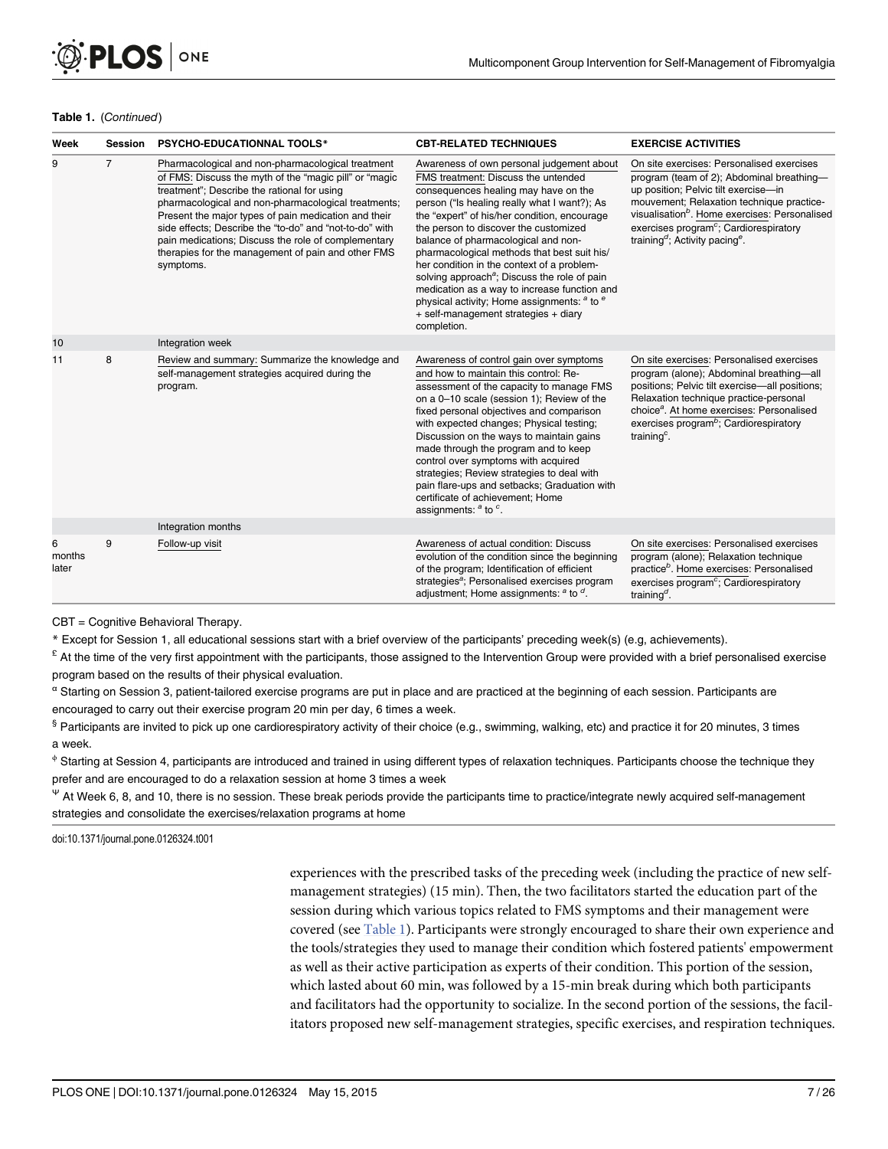#### Table 1. (Continued)

| Week                 | <b>Session</b> | <b>PSYCHO-EDUCATIONNAL TOOLS*</b>                                                                                                                                                                                                                                                                                                                                                                                                                              | <b>CBT-RELATED TECHNIQUES</b>                                                                                                                                                                                                                                                                                                                                                                                                                                                                                                                                                                                                                 | <b>EXERCISE ACTIVITIES</b>                                                                                                                                                                                                                                                                                                                               |
|----------------------|----------------|----------------------------------------------------------------------------------------------------------------------------------------------------------------------------------------------------------------------------------------------------------------------------------------------------------------------------------------------------------------------------------------------------------------------------------------------------------------|-----------------------------------------------------------------------------------------------------------------------------------------------------------------------------------------------------------------------------------------------------------------------------------------------------------------------------------------------------------------------------------------------------------------------------------------------------------------------------------------------------------------------------------------------------------------------------------------------------------------------------------------------|----------------------------------------------------------------------------------------------------------------------------------------------------------------------------------------------------------------------------------------------------------------------------------------------------------------------------------------------------------|
| 9                    | $\overline{7}$ | Pharmacological and non-pharmacological treatment<br>of FMS: Discuss the myth of the "magic pill" or "magic<br>treatment"; Describe the rational for using<br>pharmacological and non-pharmacological treatments;<br>Present the major types of pain medication and their<br>side effects; Describe the "to-do" and "not-to-do" with<br>pain medications; Discuss the role of complementary<br>therapies for the management of pain and other FMS<br>symptoms. | Awareness of own personal judgement about<br>FMS treatment: Discuss the untended<br>consequences healing may have on the<br>person ("Is healing really what I want?); As<br>the "expert" of his/her condition, encourage<br>the person to discover the customized<br>balance of pharmacological and non-<br>pharmacological methods that best suit his/<br>her condition in the context of a problem-<br>solving approach <sup>a</sup> ; Discuss the role of pain<br>medication as a way to increase function and<br>physical activity; Home assignments: <sup>a</sup> to <sup>e</sup><br>+ self-management strategies + diary<br>completion. | On site exercises: Personalised exercises<br>program (team of 2); Abdominal breathing-<br>up position; Pelvic tilt exercise-in<br>mouvement; Relaxation technique practice-<br>visualisation <sup>b</sup> . Home exercises: Personalised<br>exercises program <sup>c</sup> ; Cardiorespiratory<br>training <sup>d</sup> ; Activity pacing <sup>e</sup> . |
| 10                   |                | Integration week                                                                                                                                                                                                                                                                                                                                                                                                                                               |                                                                                                                                                                                                                                                                                                                                                                                                                                                                                                                                                                                                                                               |                                                                                                                                                                                                                                                                                                                                                          |
| 11                   | 8              | Review and summary: Summarize the knowledge and<br>self-management strategies acquired during the<br>program.                                                                                                                                                                                                                                                                                                                                                  | Awareness of control gain over symptoms<br>and how to maintain this control: Re-<br>assessment of the capacity to manage FMS<br>on a 0-10 scale (session 1); Review of the<br>fixed personal objectives and comparison<br>with expected changes; Physical testing;<br>Discussion on the ways to maintain gains<br>made through the program and to keep<br>control over symptoms with acquired<br>strategies; Review strategies to deal with<br>pain flare-ups and setbacks; Graduation with<br>certificate of achievement; Home<br>assignments: $a$ to $c$ .                                                                                  | On site exercises: Personalised exercises<br>program (alone); Abdominal breathing-all<br>positions; Pelvic tilt exercise-all positions;<br>Relaxation technique practice-personal<br>choice <sup>a</sup> . At home exercises: Personalised<br>exercises program <sup>b</sup> ; Cardiorespiratory<br>training <sup>c</sup> .                              |
|                      |                | Integration months                                                                                                                                                                                                                                                                                                                                                                                                                                             |                                                                                                                                                                                                                                                                                                                                                                                                                                                                                                                                                                                                                                               |                                                                                                                                                                                                                                                                                                                                                          |
| 6<br>months<br>later | 9              | Follow-up visit                                                                                                                                                                                                                                                                                                                                                                                                                                                | Awareness of actual condition: Discuss<br>evolution of the condition since the beginning<br>of the program; Identification of efficient<br>strategies <sup>a</sup> ; Personalised exercises program<br>adjustment; Home assignments: $a$ to $d$ .                                                                                                                                                                                                                                                                                                                                                                                             | On site exercises: Personalised exercises<br>program (alone); Relaxation technique<br>practice <sup>b</sup> . Home exercises: Personalised<br>exercises program <sup>c</sup> ; Cardiorespiratory<br>training <sup>d</sup> .                                                                                                                              |

CBT = Cognitive Behavioral Therapy.

\* Except for Session 1, all educational sessions start with a brief overview of the participants' preceding week(s) (e.g, achievements).

 $E$  At the time of the very first appointment with the participants, those assigned to the Intervention Group were provided with a brief personalised exercise program based on the results of their physical evaluation.

<sup>α</sup> Starting on Session 3, patient-tailored exercise programs are put in place and are practiced at the beginning of each session. Participants are encouraged to carry out their exercise program 20 min per day, 6 times a week.

§ Participants are invited to pick up one cardiorespiratory activity of their choice (e.g., swimming, walking, etc) and practice it for 20 minutes, 3 times a week.

<sup>¢</sup> Starting at Session 4, participants are introduced and trained in using different types of relaxation techniques. Participants choose the technique they prefer and are encouraged to do a relaxation session at home 3 times a week

<sup>Ψ</sup> At Week 6, 8, and 10, there is no session. These break periods provide the participants time to practice/integrate newly acquired self-management strategies and consolidate the exercises/relaxation programs at home

doi:10.1371/journal.pone.0126324.t001

experiences with the prescribed tasks of the preceding week (including the practice of new selfmanagement strategies) (15 min). Then, the two facilitators started the education part of the session during which various topics related to FMS symptoms and their management were covered (see [Table 1](#page-5-0)). Participants were strongly encouraged to share their own experience and the tools/strategies they used to manage their condition which fostered patients' empowerment as well as their active participation as experts of their condition. This portion of the session, which lasted about 60 min, was followed by a 15-min break during which both participants and facilitators had the opportunity to socialize. In the second portion of the sessions, the facilitators proposed new self-management strategies, specific exercises, and respiration techniques.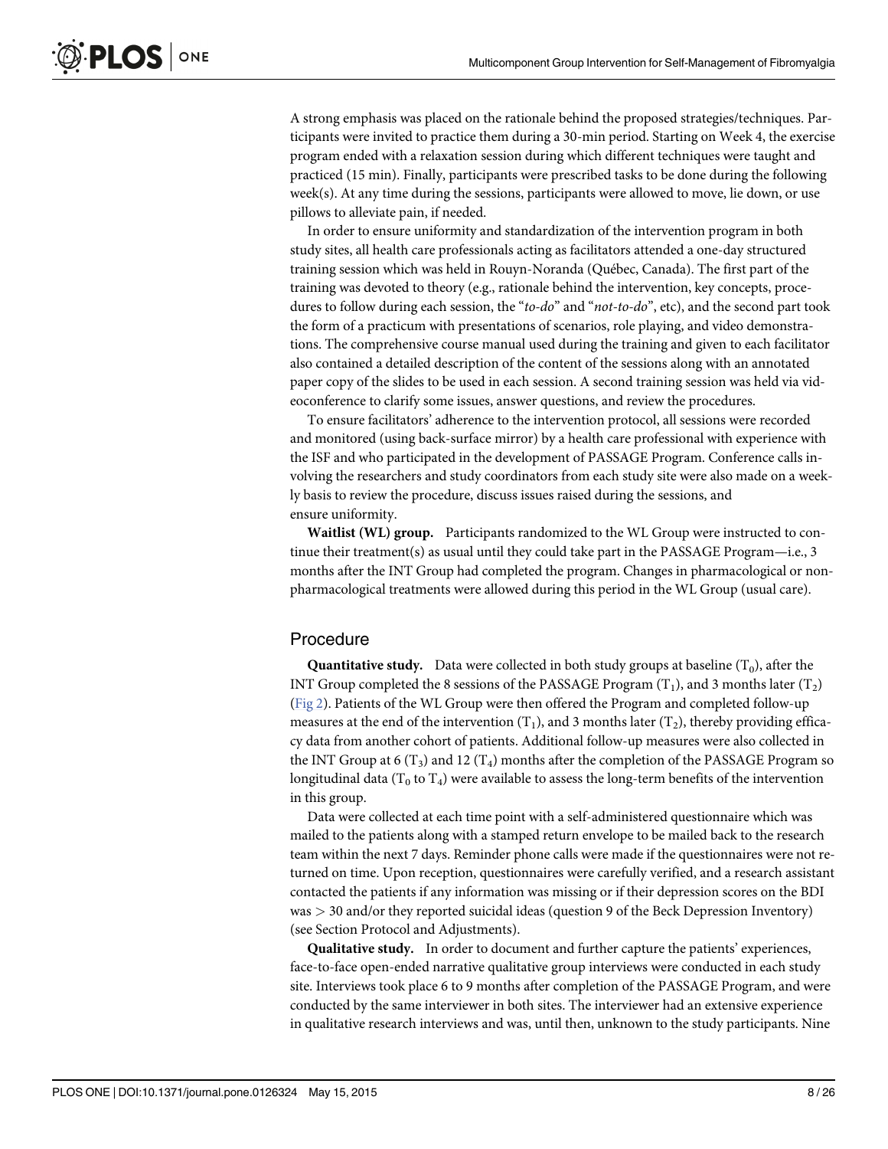<span id="page-7-0"></span>A strong emphasis was placed on the rationale behind the proposed strategies/techniques. Participants were invited to practice them during a 30-min period. Starting on Week 4, the exercise program ended with a relaxation session during which different techniques were taught and practiced (15 min). Finally, participants were prescribed tasks to be done during the following week(s). At any time during the sessions, participants were allowed to move, lie down, or use pillows to alleviate pain, if needed.

In order to ensure uniformity and standardization of the intervention program in both study sites, all health care professionals acting as facilitators attended a one-day structured training session which was held in Rouyn-Noranda (Québec, Canada). The first part of the training was devoted to theory (e.g., rationale behind the intervention, key concepts, procedures to follow during each session, the "to-do" and "not-to-do", etc), and the second part took the form of a practicum with presentations of scenarios, role playing, and video demonstrations. The comprehensive course manual used during the training and given to each facilitator also contained a detailed description of the content of the sessions along with an annotated paper copy of the slides to be used in each session. A second training session was held via videoconference to clarify some issues, answer questions, and review the procedures.

To ensure facilitators' adherence to the intervention protocol, all sessions were recorded and monitored (using back-surface mirror) by a health care professional with experience with the ISF and who participated in the development of PASSAGE Program. Conference calls involving the researchers and study coordinators from each study site were also made on a weekly basis to review the procedure, discuss issues raised during the sessions, and ensure uniformity.

Waitlist (WL) group. Participants randomized to the WL Group were instructed to continue their treatment(s) as usual until they could take part in the PASSAGE Program—i.e., 3 months after the INT Group had completed the program. Changes in pharmacological or nonpharmacological treatments were allowed during this period in the WL Group (usual care).

#### Procedure

**Quantitative study.** Data were collected in both study groups at baseline  $(T_0)$ , after the INT Group completed the 8 sessions of the PASSAGE Program  $(T_1)$ , and 3 months later  $(T_2)$ [\(Fig 2\)](#page-8-0). Patients of the WL Group were then offered the Program and completed follow-up measures at the end of the intervention  $(T_1)$ , and 3 months later  $(T_2)$ , thereby providing efficacy data from another cohort of patients. Additional follow-up measures were also collected in the INT Group at 6 (T<sub>3</sub>) and 12 (T<sub>4</sub>) months after the completion of the PASSAGE Program so longitudinal data ( $T_0$  to  $T_4$ ) were available to assess the long-term benefits of the intervention in this group.

Data were collected at each time point with a self-administered questionnaire which was mailed to the patients along with a stamped return envelope to be mailed back to the research team within the next 7 days. Reminder phone calls were made if the questionnaires were not returned on time. Upon reception, questionnaires were carefully verified, and a research assistant contacted the patients if any information was missing or if their depression scores on the BDI was > 30 and/or they reported suicidal ideas (question 9 of the Beck Depression Inventory) (see Section Protocol and Adjustments).

Qualitative study. In order to document and further capture the patients' experiences, face-to-face open-ended narrative qualitative group interviews were conducted in each study site. Interviews took place 6 to 9 months after completion of the PASSAGE Program, and were conducted by the same interviewer in both sites. The interviewer had an extensive experience in qualitative research interviews and was, until then, unknown to the study participants. Nine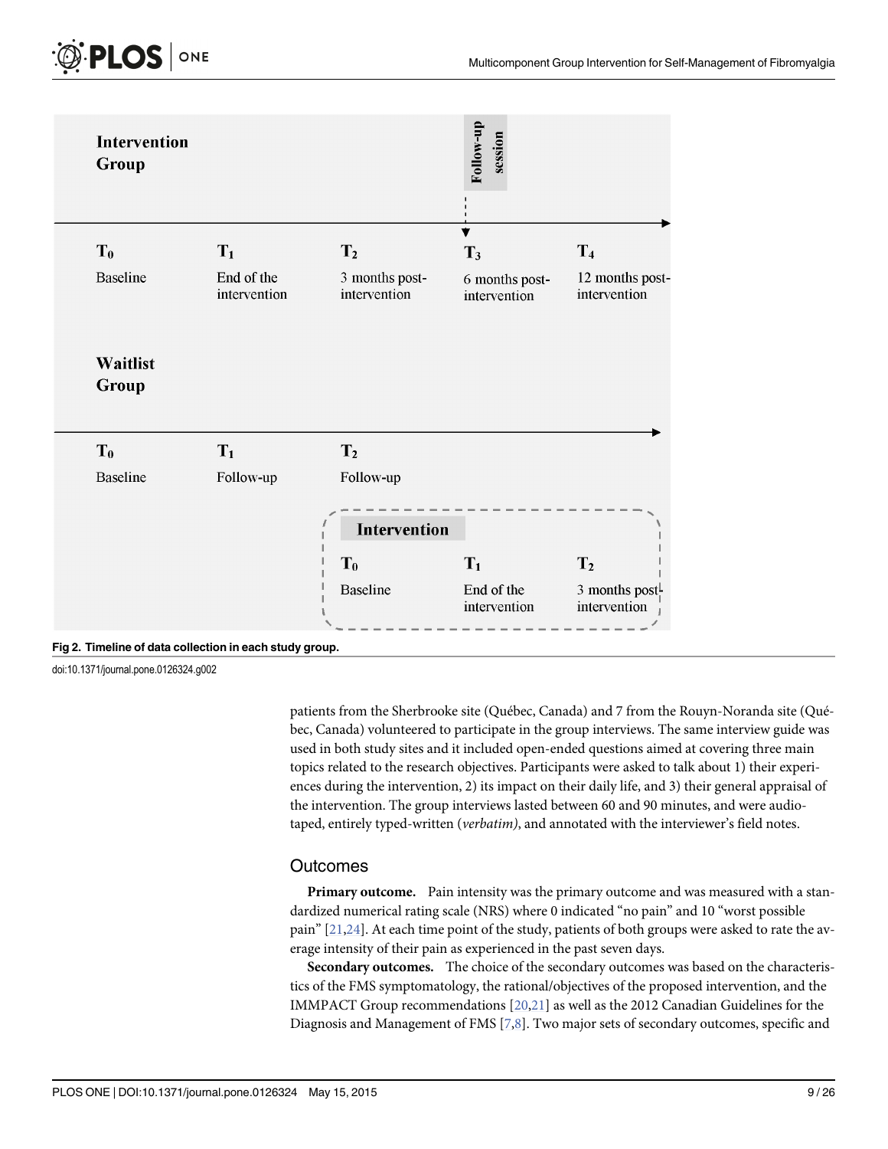<span id="page-8-0"></span>

[Fig 2. T](#page-7-0)imeline of data collection in each study group.

doi:10.1371/journal.pone.0126324.g002

patients from the Sherbrooke site (Québec, Canada) and 7 from the Rouyn-Noranda site (Québec, Canada) volunteered to participate in the group interviews. The same interview guide was used in both study sites and it included open-ended questions aimed at covering three main topics related to the research objectives. Participants were asked to talk about 1) their experiences during the intervention, 2) its impact on their daily life, and 3) their general appraisal of the intervention. The group interviews lasted between 60 and 90 minutes, and were audiotaped, entirely typed-written (verbatim), and annotated with the interviewer's field notes.

#### **Outcomes**

Primary outcome. Pain intensity was the primary outcome and was measured with a standardized numerical rating scale (NRS) where 0 indicated "no pain" and 10 "worst possible pain"  $[21,24]$ . At each time point of the study, patients of both groups were asked to rate the average intensity of their pain as experienced in the past seven days.

Secondary outcomes. The choice of the secondary outcomes was based on the characteristics of the FMS symptomatology, the rational/objectives of the proposed intervention, and the IMMPACT Group recommendations [[20,21](#page-23-0)] as well as the 2012 Canadian Guidelines for the Diagnosis and Management of FMS  $[7,8]$  $[7,8]$ . Two major sets of secondary outcomes, specific and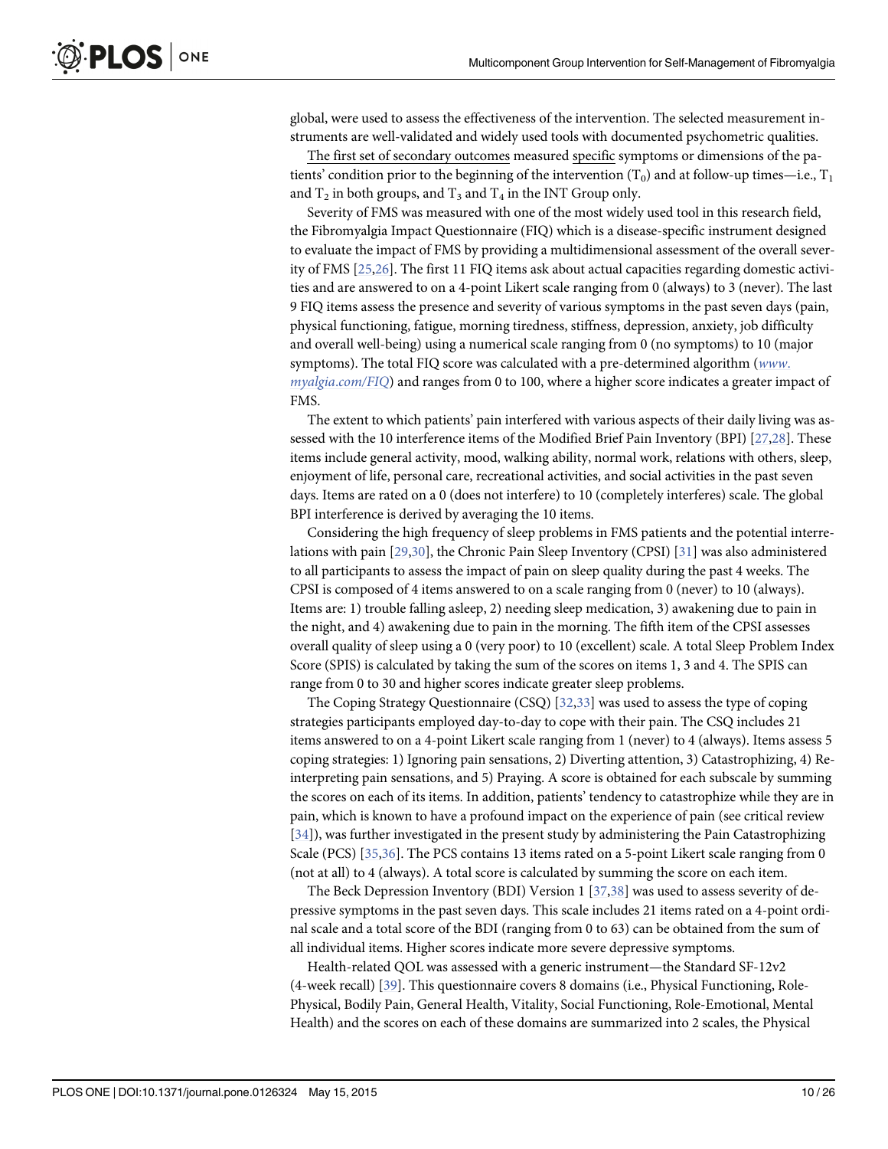<span id="page-9-0"></span>global, were used to assess the effectiveness of the intervention. The selected measurement instruments are well-validated and widely used tools with documented psychometric qualities.

The first set of secondary outcomes measured specific symptoms or dimensions of the patients' condition prior to the beginning of the intervention  $(T_0)$  and at follow-up times—i.e.,  $T_1$ and  $T_2$  in both groups, and  $T_3$  and  $T_4$  in the INT Group only.

Severity of FMS was measured with one of the most widely used tool in this research field, the Fibromyalgia Impact Questionnaire (FIQ) which is a disease-specific instrument designed to evaluate the impact of FMS by providing a multidimensional assessment of the overall severity of FMS [[25,26](#page-23-0)]. The first 11 FIQ items ask about actual capacities regarding domestic activities and are answered to on a 4-point Likert scale ranging from 0 (always) to 3 (never). The last 9 FIQ items assess the presence and severity of various symptoms in the past seven days (pain, physical functioning, fatigue, morning tiredness, stiffness, depression, anxiety, job difficulty and overall well-being) using a numerical scale ranging from 0 (no symptoms) to 10 (major symptoms). The total FIQ score was calculated with a pre-determined algorithm ([www](http://www.myalgia.com/FIQ).  $myalgia.com/FIQ$  $myalgia.com/FIQ$ ) and ranges from 0 to 100, where a higher score indicates a greater impact of FMS.

The extent to which patients' pain interfered with various aspects of their daily living was assessed with the 10 interference items of the Modified Brief Pain Inventory (BPI) [[27,28](#page-23-0)]. These items include general activity, mood, walking ability, normal work, relations with others, sleep, enjoyment of life, personal care, recreational activities, and social activities in the past seven days. Items are rated on a 0 (does not interfere) to 10 (completely interferes) scale. The global BPI interference is derived by averaging the 10 items.

Considering the high frequency of sleep problems in FMS patients and the potential interrelations with pain [[29,30](#page-23-0)], the Chronic Pain Sleep Inventory (CPSI) [\[31\]](#page-23-0) was also administered to all participants to assess the impact of pain on sleep quality during the past 4 weeks. The CPSI is composed of 4 items answered to on a scale ranging from 0 (never) to 10 (always). Items are: 1) trouble falling asleep, 2) needing sleep medication, 3) awakening due to pain in the night, and 4) awakening due to pain in the morning. The fifth item of the CPSI assesses overall quality of sleep using a 0 (very poor) to 10 (excellent) scale. A total Sleep Problem Index Score (SPIS) is calculated by taking the sum of the scores on items 1, 3 and 4. The SPIS can range from 0 to 30 and higher scores indicate greater sleep problems.

The Coping Strategy Questionnaire (CSQ) [[32](#page-23-0),[33](#page-23-0)] was used to assess the type of coping strategies participants employed day-to-day to cope with their pain. The CSQ includes 21 items answered to on a 4-point Likert scale ranging from 1 (never) to 4 (always). Items assess 5 coping strategies: 1) Ignoring pain sensations, 2) Diverting attention, 3) Catastrophizing, 4) Reinterpreting pain sensations, and 5) Praying. A score is obtained for each subscale by summing the scores on each of its items. In addition, patients' tendency to catastrophize while they are in pain, which is known to have a profound impact on the experience of pain (see critical review [\[34](#page-23-0)]), was further investigated in the present study by administering the Pain Catastrophizing Scale (PCS) [[35,36\]](#page-24-0). The PCS contains 13 items rated on a 5-point Likert scale ranging from 0 (not at all) to 4 (always). A total score is calculated by summing the score on each item.

The Beck Depression Inventory (BDI) Version 1  $[37,38]$  was used to assess severity of depressive symptoms in the past seven days. This scale includes 21 items rated on a 4-point ordinal scale and a total score of the BDI (ranging from 0 to 63) can be obtained from the sum of all individual items. Higher scores indicate more severe depressive symptoms.

Health-related QOL was assessed with a generic instrument—the Standard SF-12v2 (4-week recall) [\[39](#page-24-0)]. This questionnaire covers 8 domains (i.e., Physical Functioning, Role-Physical, Bodily Pain, General Health, Vitality, Social Functioning, Role-Emotional, Mental Health) and the scores on each of these domains are summarized into 2 scales, the Physical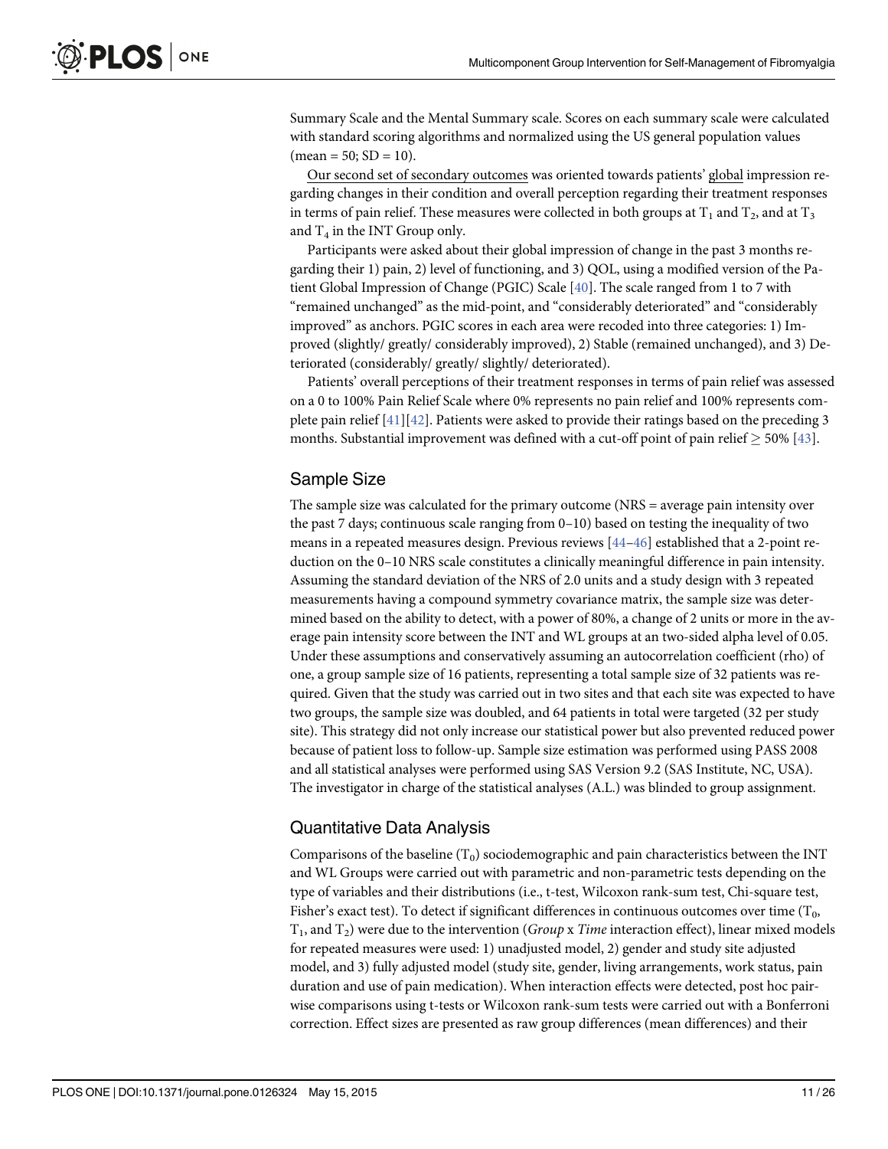<span id="page-10-0"></span>Summary Scale and the Mental Summary scale. Scores on each summary scale were calculated with standard scoring algorithms and normalized using the US general population values  $(mean = 50; SD = 10).$ 

Our second set of secondary outcomes was oriented towards patients' global impression regarding changes in their condition and overall perception regarding their treatment responses in terms of pain relief. These measures were collected in both groups at  $T_1$  and  $T_2$ , and at  $T_3$ and  $T_4$  in the INT Group only.

Participants were asked about their global impression of change in the past 3 months regarding their 1) pain, 2) level of functioning, and 3) QOL, using a modified version of the Patient Global Impression of Change (PGIC) Scale [\[40\]](#page-24-0). The scale ranged from 1 to 7 with "remained unchanged" as the mid-point, and "considerably deteriorated" and "considerably improved" as anchors. PGIC scores in each area were recoded into three categories: 1) Improved (slightly/ greatly/ considerably improved), 2) Stable (remained unchanged), and 3) Deteriorated (considerably/ greatly/ slightly/ deteriorated).

Patients' overall perceptions of their treatment responses in terms of pain relief was assessed on a 0 to 100% Pain Relief Scale where 0% represents no pain relief and 100% represents complete pain relief  $[41][42]$  $[41][42]$  $[41][42]$  $[41][42]$ . Patients were asked to provide their ratings based on the preceding 3 months. Substantial improvement was defined with a cut-off point of pain relief  $\geq$  50% [\[43\]](#page-24-0).

#### Sample Size

The sample size was calculated for the primary outcome (NRS = average pain intensity over the past 7 days; continuous scale ranging from 0–10) based on testing the inequality of two means in a repeated measures design. Previous reviews [\[44](#page-24-0)–[46](#page-24-0)] established that a 2-point reduction on the 0–10 NRS scale constitutes a clinically meaningful difference in pain intensity. Assuming the standard deviation of the NRS of 2.0 units and a study design with 3 repeated measurements having a compound symmetry covariance matrix, the sample size was determined based on the ability to detect, with a power of 80%, a change of 2 units or more in the average pain intensity score between the INT and WL groups at an two-sided alpha level of 0.05. Under these assumptions and conservatively assuming an autocorrelation coefficient (rho) of one, a group sample size of 16 patients, representing a total sample size of 32 patients was required. Given that the study was carried out in two sites and that each site was expected to have two groups, the sample size was doubled, and 64 patients in total were targeted (32 per study site). This strategy did not only increase our statistical power but also prevented reduced power because of patient loss to follow-up. Sample size estimation was performed using PASS 2008 and all statistical analyses were performed using SAS Version 9.2 (SAS Institute, NC, USA). The investigator in charge of the statistical analyses (A.L.) was blinded to group assignment.

#### Quantitative Data Analysis

Comparisons of the baseline  $(T_0)$  sociodemographic and pain characteristics between the INT and WL Groups were carried out with parametric and non-parametric tests depending on the type of variables and their distributions (i.e., t-test, Wilcoxon rank-sum test, Chi-square test, Fisher's exact test). To detect if significant differences in continuous outcomes over time  $(T_0,$  $T_1$ , and  $T_2$ ) were due to the intervention (*Group* x *Time* interaction effect), linear mixed models for repeated measures were used: 1) unadjusted model, 2) gender and study site adjusted model, and 3) fully adjusted model (study site, gender, living arrangements, work status, pain duration and use of pain medication). When interaction effects were detected, post hoc pairwise comparisons using t-tests or Wilcoxon rank-sum tests were carried out with a Bonferroni correction. Effect sizes are presented as raw group differences (mean differences) and their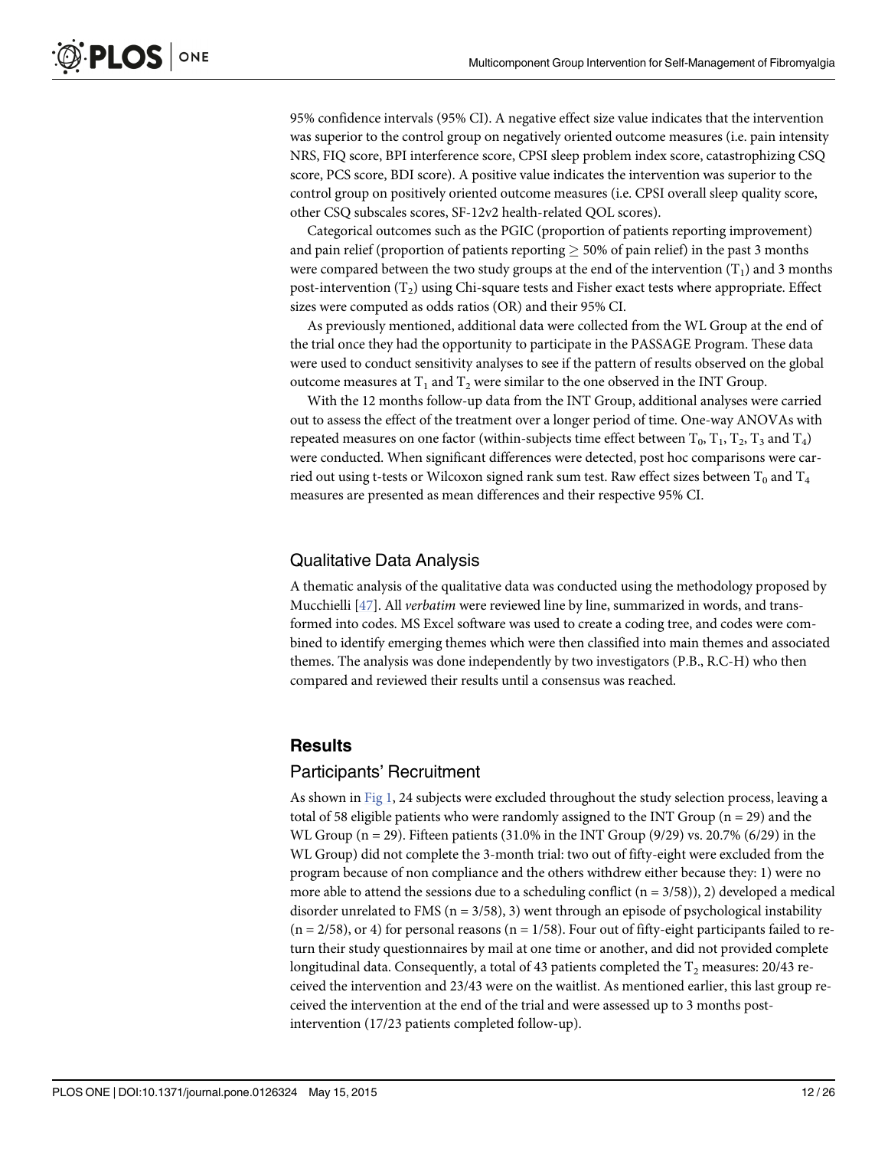<span id="page-11-0"></span>95% confidence intervals (95% CI). A negative effect size value indicates that the intervention was superior to the control group on negatively oriented outcome measures (i.e. pain intensity NRS, FIQ score, BPI interference score, CPSI sleep problem index score, catastrophizing CSQ score, PCS score, BDI score). A positive value indicates the intervention was superior to the control group on positively oriented outcome measures (i.e. CPSI overall sleep quality score, other CSQ subscales scores, SF-12v2 health-related QOL scores).

Categorical outcomes such as the PGIC (proportion of patients reporting improvement) and pain relief (proportion of patients reporting  $\geq$  50% of pain relief) in the past 3 months were compared between the two study groups at the end of the intervention  $(T_1)$  and 3 months post-intervention  $(T_2)$  using Chi-square tests and Fisher exact tests where appropriate. Effect sizes were computed as odds ratios (OR) and their 95% CI.

As previously mentioned, additional data were collected from the WL Group at the end of the trial once they had the opportunity to participate in the PASSAGE Program. These data were used to conduct sensitivity analyses to see if the pattern of results observed on the global outcome measures at  $T_1$  and  $T_2$  were similar to the one observed in the INT Group.

With the 12 months follow-up data from the INT Group, additional analyses were carried out to assess the effect of the treatment over a longer period of time. One-way ANOVAs with repeated measures on one factor (within-subjects time effect between  $T_0$ ,  $T_1$ ,  $T_2$ ,  $T_3$  and  $T_4$ ) were conducted. When significant differences were detected, post hoc comparisons were carried out using t-tests or Wilcoxon signed rank sum test. Raw effect sizes between  $T_0$  and  $T_4$ measures are presented as mean differences and their respective 95% CI.

#### Qualitative Data Analysis

A thematic analysis of the qualitative data was conducted using the methodology proposed by Mucchielli [[47](#page-24-0)]. All verbatim were reviewed line by line, summarized in words, and transformed into codes. MS Excel software was used to create a coding tree, and codes were combined to identify emerging themes which were then classified into main themes and associated themes. The analysis was done independently by two investigators (P.B., R.C-H) who then compared and reviewed their results until a consensus was reached.

#### **Results**

#### Participants' Recruitment

As shown in [Fig 1,](#page-3-0) 24 subjects were excluded throughout the study selection process, leaving a total of 58 eligible patients who were randomly assigned to the INT Group ( $n = 29$ ) and the WL Group (n = 29). Fifteen patients (31.0% in the INT Group (9/29) vs. 20.7% (6/29) in the WL Group) did not complete the 3-month trial: two out of fifty-eight were excluded from the program because of non compliance and the others withdrew either because they: 1) were no more able to attend the sessions due to a scheduling conflict  $(n = 3/58)$ , 2) developed a medical disorder unrelated to FMS ( $n = 3/58$ ), 3) went through an episode of psychological instability  $(n = 2/58)$ , or 4) for personal reasons  $(n = 1/58)$ . Four out of fifty-eight participants failed to return their study questionnaires by mail at one time or another, and did not provided complete longitudinal data. Consequently, a total of 43 patients completed the  $T_2$  measures: 20/43 received the intervention and 23/43 were on the waitlist. As mentioned earlier, this last group received the intervention at the end of the trial and were assessed up to 3 months postintervention (17/23 patients completed follow-up).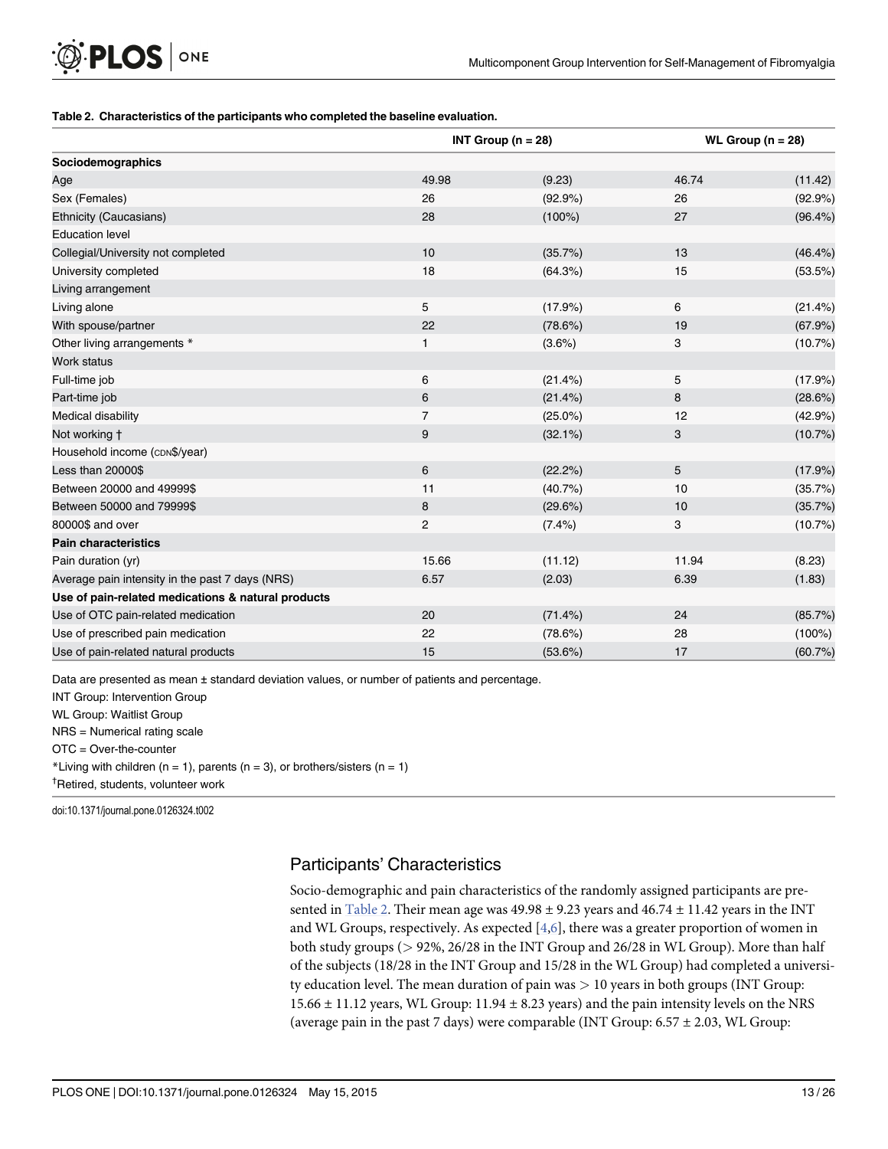#### <span id="page-12-0"></span>Table 2. Characteristics of the participants who completed the baseline evaluation.

|                                                    |                | INT Group ( $n = 28$ ) | WL Group ( $n = 28$ ) |            |  |  |  |  |  |  |  |
|----------------------------------------------------|----------------|------------------------|-----------------------|------------|--|--|--|--|--|--|--|
| Sociodemographics                                  |                |                        |                       |            |  |  |  |  |  |  |  |
| Age                                                | 49.98          | (9.23)                 | 46.74                 | (11.42)    |  |  |  |  |  |  |  |
| Sex (Females)                                      | 26             | (92.9%)                | 26                    | (92.9%)    |  |  |  |  |  |  |  |
| Ethnicity (Caucasians)                             | 28             | $(100\%)$              | 27                    | $(96.4\%)$ |  |  |  |  |  |  |  |
| <b>Education level</b>                             |                |                        |                       |            |  |  |  |  |  |  |  |
| Collegial/University not completed                 | 10             | (35.7%)                | 13                    | $(46.4\%)$ |  |  |  |  |  |  |  |
| University completed                               | 18             | (64.3%)                | 15                    | (53.5%)    |  |  |  |  |  |  |  |
| Living arrangement                                 |                |                        |                       |            |  |  |  |  |  |  |  |
| Living alone                                       | 5              | (17.9%)                | 6                     | (21.4%)    |  |  |  |  |  |  |  |
| With spouse/partner                                | 22             | (78.6%)                | 19                    | (67.9%)    |  |  |  |  |  |  |  |
| Other living arrangements *                        | 1              | $(3.6\%)$              | 3                     | (10.7%)    |  |  |  |  |  |  |  |
| Work status                                        |                |                        |                       |            |  |  |  |  |  |  |  |
| Full-time job                                      | 6              | (21.4%)                | 5                     | (17.9%)    |  |  |  |  |  |  |  |
| Part-time job                                      | 6              | $(21.4\%)$             | 8                     | (28.6%)    |  |  |  |  |  |  |  |
| Medical disability                                 | $\overline{7}$ | $(25.0\%)$             | 12                    | (42.9%)    |  |  |  |  |  |  |  |
| Not working t                                      | 9              | $(32.1\%)$             | 3                     | (10.7%)    |  |  |  |  |  |  |  |
| Household income (cDN\$/year)                      |                |                        |                       |            |  |  |  |  |  |  |  |
| Less than 20000\$                                  | 6              | (22.2%)                | 5                     | (17.9%)    |  |  |  |  |  |  |  |
| Between 20000 and 49999\$                          | 11             | (40.7%                 | 10                    | (35.7%)    |  |  |  |  |  |  |  |
| Between 50000 and 79999\$                          | 8              | (29.6%)                | 10                    | (35.7%)    |  |  |  |  |  |  |  |
| 80000\$ and over                                   | $\overline{c}$ | $(7.4\%)$              | 3                     | (10.7%)    |  |  |  |  |  |  |  |
| <b>Pain characteristics</b>                        |                |                        |                       |            |  |  |  |  |  |  |  |
| Pain duration (yr)                                 | 15.66          | (11.12)                | 11.94                 | (8.23)     |  |  |  |  |  |  |  |
| Average pain intensity in the past 7 days (NRS)    | 6.57           | (2.03)                 | 6.39                  | (1.83)     |  |  |  |  |  |  |  |
| Use of pain-related medications & natural products |                |                        |                       |            |  |  |  |  |  |  |  |
| Use of OTC pain-related medication                 | 20             | $(71.4\%)$             | 24                    | (85.7%)    |  |  |  |  |  |  |  |
| Use of prescribed pain medication                  | 22             | (78.6%)                | 28                    | $(100\%)$  |  |  |  |  |  |  |  |
| Use of pain-related natural products               | 15             | (53.6%)                | 17                    | (60.7%)    |  |  |  |  |  |  |  |

Data are presented as mean ± standard deviation values, or number of patients and percentage.

INT Group: Intervention Group

WL Group: Waitlist Group

NRS = Numerical rating scale

OTC = Over-the-counter

\*Living with children ( $n = 1$ ), parents ( $n = 3$ ), or brothers/sisters ( $n = 1$ )

† Retired, students, volunteer work

doi:10.1371/journal.pone.0126324.t002

# Participants' Characteristics

Socio-demographic and pain characteristics of the randomly assigned participants are presented in Table 2. Their mean age was  $49.98 \pm 9.23$  years and  $46.74 \pm 11.42$  years in the INT and WL Groups, respectively. As expected  $[4,6]$  $[4,6]$  $[4,6]$ , there was a greater proportion of women in both study groups (> 92%, 26/28 in the INT Group and 26/28 in WL Group). More than half of the subjects (18/28 in the INT Group and 15/28 in the WL Group) had completed a university education level. The mean duration of pain was  $> 10$  years in both groups (INT Group: 15.66 ± 11.12 years, WL Group: 11.94 ± 8.23 years) and the pain intensity levels on the NRS (average pain in the past 7 days) were comparable (INT Group:  $6.57 \pm 2.03$ , WL Group: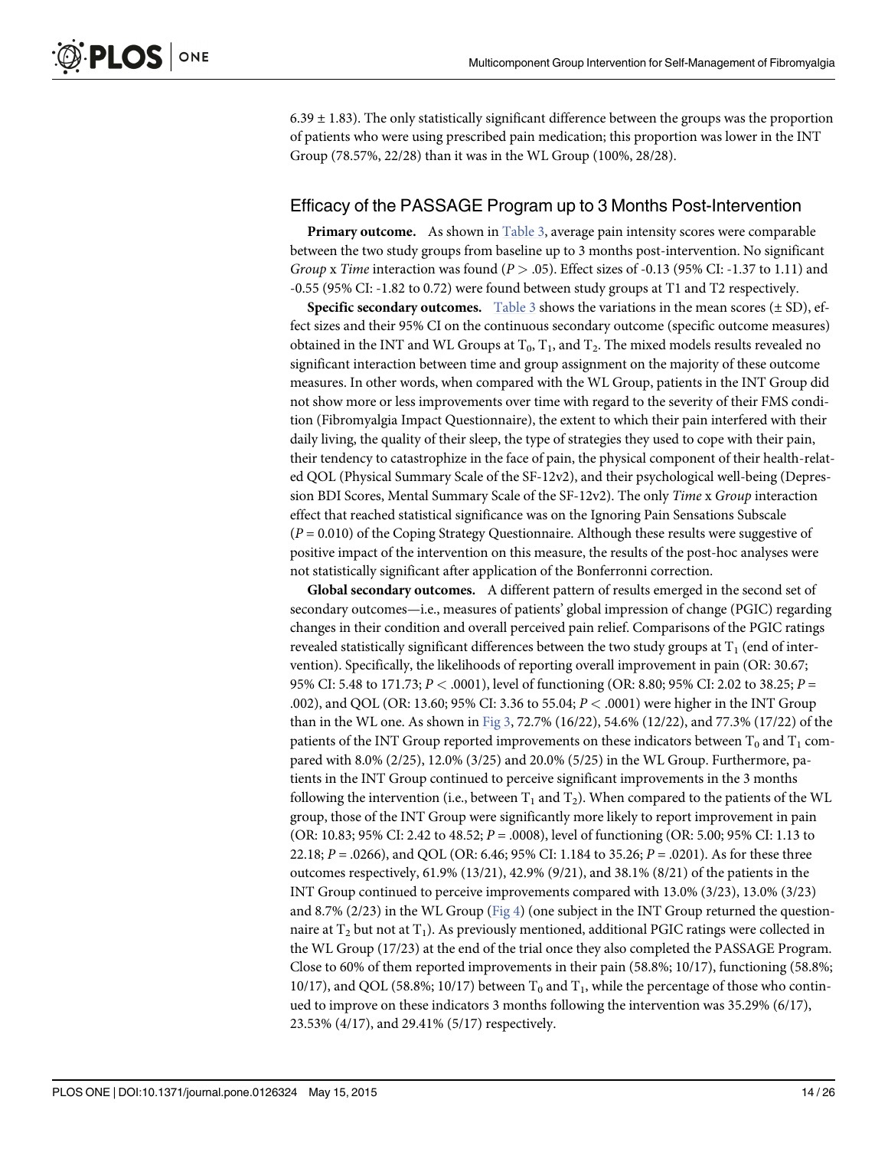<span id="page-13-0"></span> $6.39 \pm 1.83$ ). The only statistically significant difference between the groups was the proportion of patients who were using prescribed pain medication; this proportion was lower in the INT Group (78.57%, 22/28) than it was in the WL Group (100%, 28/28).

#### Efficacy of the PASSAGE Program up to 3 Months Post-Intervention

**Primary outcome.** As shown in  $Table 3$ , average pain intensity scores were comparable between the two study groups from baseline up to 3 months post-intervention. No significant Group x Time interaction was found ( $P > .05$ ). Effect sizes of -0.13 (95% CI: -1.37 to 1.11) and -0.55 (95% CI: -1.82 to 0.72) were found between study groups at T1 and T2 respectively.

**Specific secondary outcomes.** [Table 3](#page-14-0) shows the variations in the mean scores ( $\pm$  SD), effect sizes and their 95% CI on the continuous secondary outcome (specific outcome measures) obtained in the INT and WL Groups at  $T_0$ ,  $T_1$ , and  $T_2$ . The mixed models results revealed no significant interaction between time and group assignment on the majority of these outcome measures. In other words, when compared with the WL Group, patients in the INT Group did not show more or less improvements over time with regard to the severity of their FMS condition (Fibromyalgia Impact Questionnaire), the extent to which their pain interfered with their daily living, the quality of their sleep, the type of strategies they used to cope with their pain, their tendency to catastrophize in the face of pain, the physical component of their health-related QOL (Physical Summary Scale of the SF-12v2), and their psychological well-being (Depression BDI Scores, Mental Summary Scale of the SF-12v2). The only Time x Group interaction effect that reached statistical significance was on the Ignoring Pain Sensations Subscale  $(P = 0.010)$  of the Coping Strategy Questionnaire. Although these results were suggestive of positive impact of the intervention on this measure, the results of the post-hoc analyses were not statistically significant after application of the Bonferronni correction.

Global secondary outcomes. A different pattern of results emerged in the second set of secondary outcomes—i.e., measures of patients' global impression of change (PGIC) regarding changes in their condition and overall perceived pain relief. Comparisons of the PGIC ratings revealed statistically significant differences between the two study groups at  $T_1$  (end of intervention). Specifically, the likelihoods of reporting overall improvement in pain (OR: 30.67; 95% CI: 5.48 to 171.73;  $P < .0001$ ), level of functioning (OR: 8.80; 95% CI: 2.02 to 38.25;  $P =$ .002), and QOL (OR: 13.60; 95% CI: 3.36 to 55.04; P < .0001) were higher in the INT Group than in the WL one. As shown in [Fig 3](#page-16-0), 72.7% (16/22), 54.6% (12/22), and 77.3% (17/22) of the patients of the INT Group reported improvements on these indicators between  $T_0$  and  $T_1$  compared with 8.0% (2/25), 12.0% (3/25) and 20.0% (5/25) in the WL Group. Furthermore, patients in the INT Group continued to perceive significant improvements in the 3 months following the intervention (i.e., between  $T_1$  and  $T_2$ ). When compared to the patients of the WL group, those of the INT Group were significantly more likely to report improvement in pain (OR: 10.83; 95% CI: 2.42 to 48.52; P = .0008), level of functioning (OR: 5.00; 95% CI: 1.13 to 22.18;  $P = .0266$ ), and QOL (OR: 6.46; 95% CI: 1.184 to 35.26;  $P = .0201$ ). As for these three outcomes respectively, 61.9% (13/21), 42.9% (9/21), and 38.1% (8/21) of the patients in the INT Group continued to perceive improvements compared with 13.0% (3/23), 13.0% (3/23) and 8.7% (2/23) in the WL Group ( $Fig 4$ ) (one subject in the INT Group returned the questionnaire at  $T_2$  but not at  $T_1$ ). As previously mentioned, additional PGIC ratings were collected in the WL Group (17/23) at the end of the trial once they also completed the PASSAGE Program. Close to 60% of them reported improvements in their pain (58.8%; 10/17), functioning (58.8%; 10/17), and QOL (58.8%; 10/17) between  $T_0$  and  $T_1$ , while the percentage of those who continued to improve on these indicators 3 months following the intervention was 35.29% (6/17), 23.53% (4/17), and 29.41% (5/17) respectively.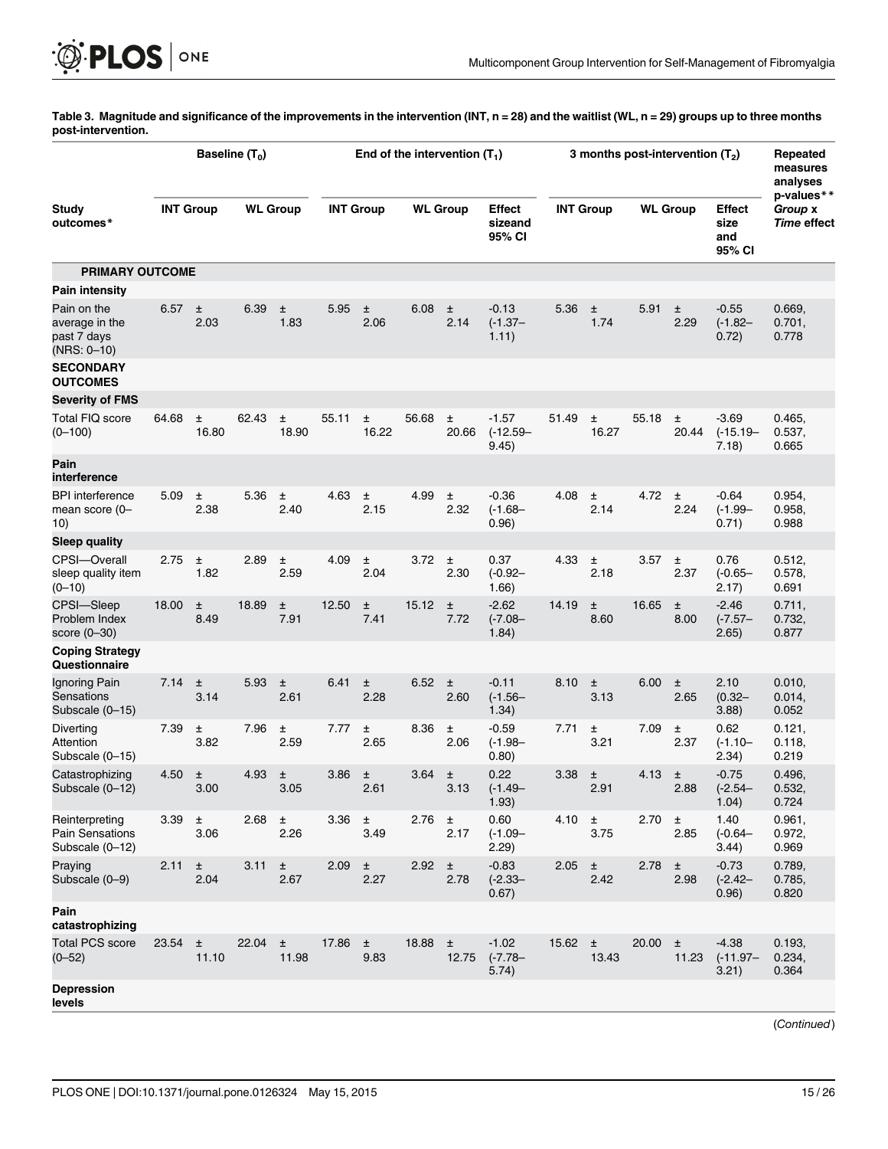<span id="page-14-0"></span>[Table 3.](#page-13-0) Magnitude and significance of the improvements in the intervention (INT, n = 28) and the waitlist (WL, n = 29) groups up to three months post-intervention.

|                                                             | Baseline $(T_0)$ |               |                 |                | End of the intervention $(T_1)$ |               |                 |                |                                 | 3 months post-intervention $(T_2)$ |               |                 |                |                                 | Repeated<br>measures<br>analyses                   |
|-------------------------------------------------------------|------------------|---------------|-----------------|----------------|---------------------------------|---------------|-----------------|----------------|---------------------------------|------------------------------------|---------------|-----------------|----------------|---------------------------------|----------------------------------------------------|
| Study<br>outcomes*                                          | <b>INT Group</b> |               | <b>WL Group</b> |                | <b>INT Group</b>                |               | <b>WL Group</b> |                | Effect<br>sizeand<br>95% CI     | <b>INT Group</b>                   |               | <b>WL Group</b> |                | Effect<br>size<br>and<br>95% CI | p-values**<br>Group <b>x</b><br><b>Time effect</b> |
| <b>PRIMARY OUTCOME</b>                                      |                  |               |                 |                |                                 |               |                 |                |                                 |                                    |               |                 |                |                                 |                                                    |
| Pain intensity                                              |                  |               |                 |                |                                 |               |                 |                |                                 |                                    |               |                 |                |                                 |                                                    |
| Pain on the<br>average in the<br>past 7 days<br>(NRS: 0-10) | 6.57             | 土<br>2.03     | 6.39            | 土<br>1.83      | 5.95                            | 土<br>2.06     | 6.08            | 土<br>2.14      | $-0.13$<br>$(-1.37 -$<br>1.11)  | 5.36                               | ±<br>1.74     | 5.91            | Ŧ<br>2.29      | $-0.55$<br>$(-1.82 -$<br>0.72)  | 0.669,<br>0.701,<br>0.778                          |
| <b>SECONDARY</b><br><b>OUTCOMES</b>                         |                  |               |                 |                |                                 |               |                 |                |                                 |                                    |               |                 |                |                                 |                                                    |
| <b>Severity of FMS</b>                                      |                  |               |                 |                |                                 |               |                 |                |                                 |                                    |               |                 |                |                                 |                                                    |
| Total FIQ score<br>$(0 - 100)$                              | 64.68            | ±<br>16.80    | 62.43           | Ŧ<br>18.90     | 55.11                           | Ŧ<br>16.22    | 56.68           | 土<br>20.66     | $-1.57$<br>$(-12.59 -$<br>9.45) | 51.49                              | 土<br>16.27    | 55.18           | 土<br>20.44     | $-3.69$<br>$(-15.19 -$<br>7.18) | 0.465,<br>0.537,<br>0.665                          |
| Pain<br>interference                                        |                  |               |                 |                |                                 |               |                 |                |                                 |                                    |               |                 |                |                                 |                                                    |
| <b>BPI</b> interference<br>mean score (0-<br>10)            | 5.09             | Ŧ<br>2.38     | 5.36            | $\pm$<br>2.40  | 4.63                            | $\pm$<br>2.15 | 4.99            | 土<br>2.32      | $-0.36$<br>$(-1.68 -$<br>0.96)  | 4.08                               | 土<br>2.14     | 4.72            | ±<br>2.24      | -0.64<br>$(-1.99 -$<br>0.71)    | 0.954,<br>0.958,<br>0.988                          |
| <b>Sleep quality</b>                                        |                  |               |                 |                |                                 |               |                 |                |                                 |                                    |               |                 |                |                                 |                                                    |
| CPSI-Overall<br>sleep quality item<br>$(0 - 10)$            | 2.75             | $\pm$<br>1.82 | 2.89            | Ŧ<br>2.59      | 4.09                            | ±<br>2.04     | 3.72            | 土<br>2.30      | 0.37<br>$(-0.92 -$<br>1.66)     | 4.33                               | ±<br>2.18     | 3.57            | ±<br>2.37      | 0.76<br>$(-0.65 -$<br>2.17)     | 0.512,<br>0.578,<br>0.691                          |
| CPSI-Sleep<br>Problem Index<br>score (0–30)                 | 18.00            | ±<br>8.49     | 18.89           | Ŧ<br>7.91      | 12.50                           | Ŧ<br>7.41     | 15.12           | 土<br>7.72      | $-2.62$<br>$(-7.08 -$<br>1.84)  | 14.19                              | ±<br>8.60     | 16.65           | ±<br>8.00      | $-2.46$<br>$(-7.57 -$<br>2.65)  | 0.711,<br>0.732,<br>0.877                          |
| <b>Coping Strategy</b><br>Questionnaire                     |                  |               |                 |                |                                 |               |                 |                |                                 |                                    |               |                 |                |                                 |                                                    |
| Ignoring Pain<br>Sensations<br>Subscale (0-15)              | 7.14             | 土<br>3.14     | 5.93            | Ŧ<br>2.61      | 6.41                            | $\pm$<br>2.28 | 6.52            | 土<br>2.60      | $-0.11$<br>$(-1.56 -$<br>1.34)  | 8.10                               | Ŧ<br>3.13     | 6.00            | ±<br>2.65      | 2.10<br>$(0.32 -$<br>3.88)      | 0.010,<br>0.014,<br>0.052                          |
| Diverting<br>Attention<br>Subscale (0-15)                   | 7.39             | Ŧ<br>3.82     | 7.96            | 土<br>2.59      | 7.77                            | 土<br>2.65     | 8.36            | 土<br>2.06      | $-0.59$<br>$(-1.98 -$<br>0.80)  | 7.71                               | Ŧ<br>3.21     | 7.09            | $\pm$<br>2.37  | 0.62<br>$(-1.10 -$<br>2.34)     | 0.121,<br>0.118,<br>0.219                          |
| Catastrophizing<br>Subscale (0-12)                          | 4.50             | Ŧ<br>3.00     | 4.93            | 土<br>$3.05$    | 3.86                            | 土<br>2.61     | 3.64            | 土<br>3.13      | 0.22<br>$(-1.49 -$<br>1.93)     | 3.38                               | Ŧ<br>2.91     | 4.13            | Ŧ<br>2.88      | -0.75<br>$(-2.54 -$<br>1.04)    | 0.496,<br>0.532,<br>0.724                          |
| Reinterpreting<br><b>Pain Sensations</b><br>Subscale (0-12) | 3.39 $\pm$       | 3.06          | $2.68 \pm$      | 2.26           | 3.36 $\pm$                      | 3.49          | 2.76            | $\pm$<br>2.17  | 0.60<br>$(-1.09 -$<br>2.29)     | 4.10 $\pm$                         | 3.75          | $2.70 \pm$      | 2.85           | 1.40<br>$(-0.64 -$<br>3.44)     | 0.961,<br>0.972,<br>0.969                          |
| Praying<br>Subscale (0-9)                                   | 2.11             | $\pm$<br>2.04 | 3.11            | $\pm$<br>2.67  | 2.09                            | $\pm$<br>2.27 | 2.92            | $\pm$<br>2.78  | $-0.83$<br>$(-2.33 -$<br>0.67)  | 2.05                               | $\pm$<br>2.42 | 2.78            | $\pm$<br>2.98  | $-0.73$<br>$(-2.42 -$<br>0.96)  | 0.789,<br>0.785,<br>0.820                          |
| Pain<br>catastrophizing                                     |                  |               |                 |                |                                 |               |                 |                |                                 |                                    |               |                 |                |                                 |                                                    |
| <b>Total PCS score</b><br>$(0 - 52)$                        | $23.54 +$        | 11.10         | 22.04           | $\pm$<br>11.98 | 17.86                           | $\pm$<br>9.83 | 18.88           | $\pm$<br>12.75 | $-1.02$<br>$(-7.78 -$<br>5.74)  | 15.62 $\pm$                        | 13.43         | 20.00           | $\pm$<br>11.23 | $-4.38$<br>$(-11.97 -$<br>3.21) | 0.193,<br>0.234,<br>0.364                          |
| <b>Depression</b><br>levels                                 |                  |               |                 |                |                                 |               |                 |                |                                 |                                    |               |                 |                |                                 |                                                    |

(Continued)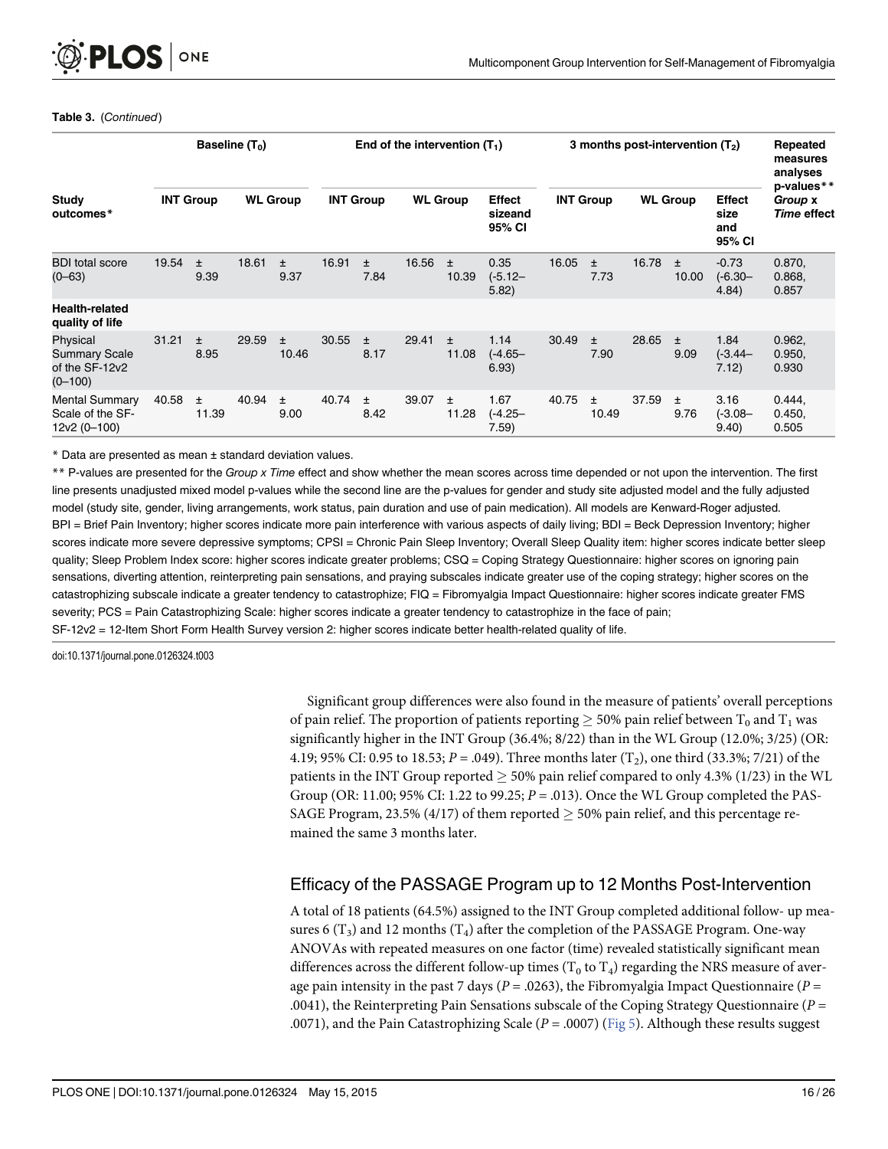#### <span id="page-15-0"></span>Table 3. (Continued)

|                                                                   |                  |               | Baseline $(T_0)$ |               | End of the intervention $(T_1)$ |               |                 |                |                                    |                  | 3 months post-intervention $(T2)$ |                 |                |                                        |                                      |
|-------------------------------------------------------------------|------------------|---------------|------------------|---------------|---------------------------------|---------------|-----------------|----------------|------------------------------------|------------------|-----------------------------------|-----------------|----------------|----------------------------------------|--------------------------------------|
| Study<br>outcomes*                                                | <b>INT Group</b> |               | <b>WL Group</b>  |               | <b>INT Group</b>                |               | <b>WL Group</b> |                | <b>Effect</b><br>sizeand<br>95% CI | <b>INT Group</b> |                                   | <b>WL Group</b> |                | <b>Effect</b><br>size<br>and<br>95% CI | p-values**<br>Group x<br>Time effect |
| <b>BDI</b> total score<br>$(0 - 63)$                              | 19.54            | $\pm$<br>9.39 | 18.61            | $\pm$<br>9.37 | 16.91                           | $\pm$<br>7.84 | 16.56           | $\pm$<br>10.39 | 0.35<br>$(-5.12 -$<br>5.82)        | 16.05            | $\pm$<br>7.73                     | 16.78           | $\pm$<br>10.00 | $-0.73$<br>$(-6.30 -$<br>4.84)         | 0.870,<br>0.868,<br>0.857            |
| <b>Health-related</b><br>quality of life                          |                  |               |                  |               |                                 |               |                 |                |                                    |                  |                                   |                 |                |                                        |                                      |
| Physical<br><b>Summary Scale</b><br>of the SF-12v2<br>$(0 - 100)$ | 31.21            | $\pm$<br>8.95 | 29.59            | ±.<br>10.46   | 30.55                           | $\pm$<br>8.17 | 29.41           | $\pm$<br>11.08 | 1.14<br>$(-4.65 -$<br>6.93)        | 30.49            | $\ddot{}$<br>7.90                 | 28.65           | $\pm$<br>9.09  | 1.84<br>$(-3.44 -$<br>7.12)            | 0.962,<br>0.950,<br>0.930            |
| <b>Mental Summary</b><br>Scale of the SF-<br>12v2 (0-100)         | 40.58            | Ŧ.<br>11.39   | 40.94            | ±.<br>9.00    | 40.74                           | $\pm$<br>8.42 | 39.07           | ±.<br>11.28    | 1.67<br>(-4.25–<br>7.59)           | 40.75            | Ŧ<br>10.49                        | 37.59           | Ŧ<br>9.76      | 3.16<br>$(-3.08 -$<br>9.40)            | 0.444,<br>0.450,<br>0.505            |

\* Data are presented as mean ± standard deviation values.

\*\* P-values are presented for the Group x Time effect and show whether the mean scores across time depended or not upon the intervention. The first line presents unadjusted mixed model p-values while the second line are the p-values for gender and study site adjusted model and the fully adjusted model (study site, gender, living arrangements, work status, pain duration and use of pain medication). All models are Kenward-Roger adjusted. BPI = Brief Pain Inventory; higher scores indicate more pain interference with various aspects of daily living; BDI = Beck Depression Inventory; higher scores indicate more severe depressive symptoms; CPSI = Chronic Pain Sleep Inventory; Overall Sleep Quality item: higher scores indicate better sleep quality; Sleep Problem Index score: higher scores indicate greater problems; CSQ = Coping Strategy Questionnaire: higher scores on ignoring pain sensations, diverting attention, reinterpreting pain sensations, and praying subscales indicate greater use of the coping strategy; higher scores on the catastrophizing subscale indicate a greater tendency to catastrophize; FIQ = Fibromyalgia Impact Questionnaire: higher scores indicate greater FMS severity; PCS = Pain Catastrophizing Scale: higher scores indicate a greater tendency to catastrophize in the face of pain; SF-12v2 = 12-Item Short Form Health Survey version 2: higher scores indicate better health-related quality of life.

doi:10.1371/journal.pone.0126324.t003

Significant group differences were also found in the measure of patients' overall perceptions of pain relief. The proportion of patients reporting  $> 50\%$  pain relief between T<sub>0</sub> and T<sub>1</sub> was significantly higher in the INT Group (36.4%; 8/22) than in the WL Group (12.0%; 3/25) (OR: 4.19; 95% CI: 0.95 to 18.53;  $P = .049$ ). Three months later (T<sub>2</sub>), one third (33.3%; 7/21) of the patients in the INT Group reported  $>$  50% pain relief compared to only 4.3% (1/23) in the WL Group (OR: 11.00; 95% CI: 1.22 to 99.25;  $P = .013$ ). Once the WL Group completed the PAS-SAGE Program, 23.5% (4/17) of them reported  $\geq$  50% pain relief, and this percentage remained the same 3 months later.

# Efficacy of the PASSAGE Program up to 12 Months Post-Intervention

A total of 18 patients (64.5%) assigned to the INT Group completed additional follow- up measures 6  $(T_3)$  and 12 months  $(T_4)$  after the completion of the PASSAGE Program. One-way ANOVAs with repeated measures on one factor (time) revealed statistically significant mean differences across the different follow-up times ( $T_0$  to  $T_4$ ) regarding the NRS measure of average pain intensity in the past 7 days ( $P = .0263$ ), the Fibromyalgia Impact Questionnaire ( $P =$ .0041), the Reinterpreting Pain Sensations subscale of the Coping Strategy Questionnaire ( $P =$ .0071), and the Pain Catastrophizing Scale ( $P = .0007$ ) ([Fig 5](#page-17-0)). Although these results suggest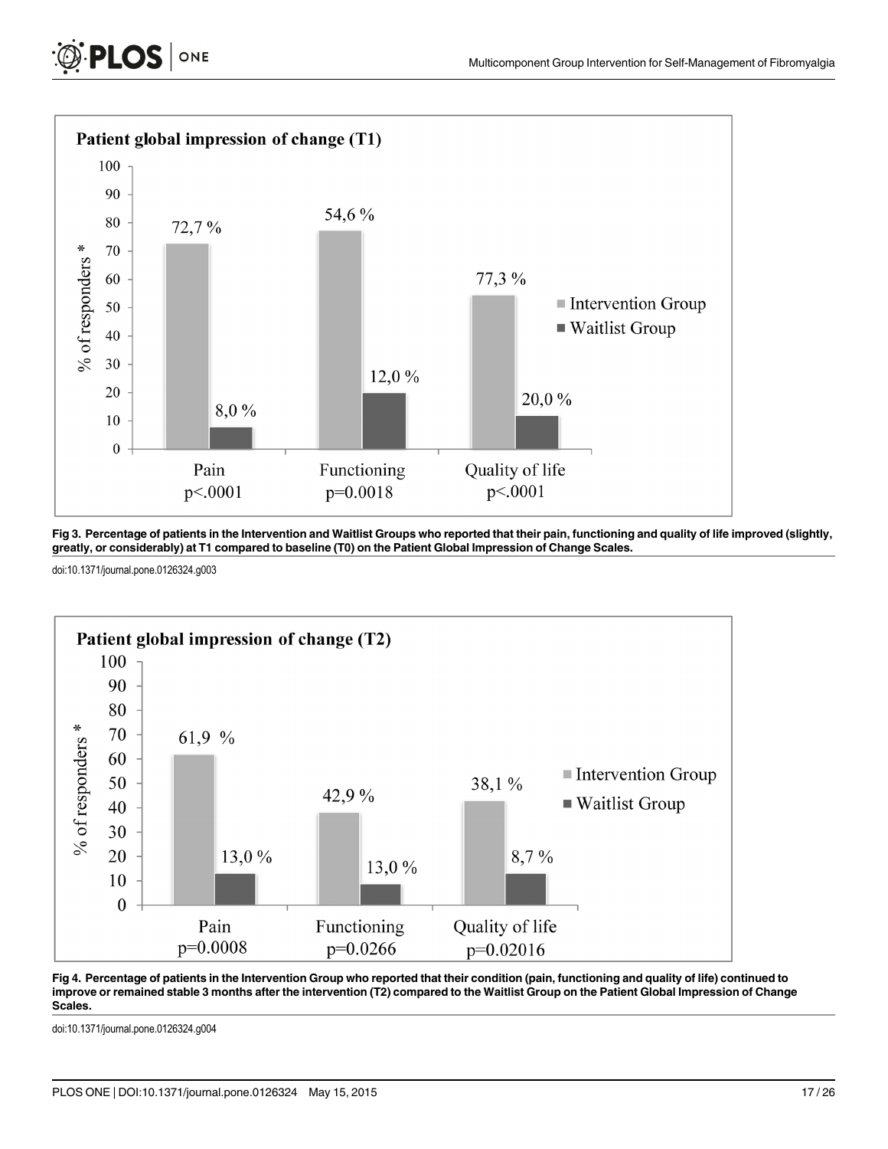<span id="page-16-0"></span>



[Fig 3. P](#page-13-0)ercentage of patients in the Intervention and Waitlist Groups who reported that their pain, functioning and quality of life improved (slightly, greatly, or considerably) at T1 compared to baseline (T0) on the Patient Global Impression of Change Scales.

doi:10.1371/journal.pone.0126324.g003



[Fig 4. P](#page-13-0)ercentage of patients in the Intervention Group who reported that their condition (pain, functioning and quality of life) continued to improve or remained stable 3 months after the intervention (T2) compared to the Waitlist Group on the Patient Global Impression of Change Scales.

doi:10.1371/journal.pone.0126324.g004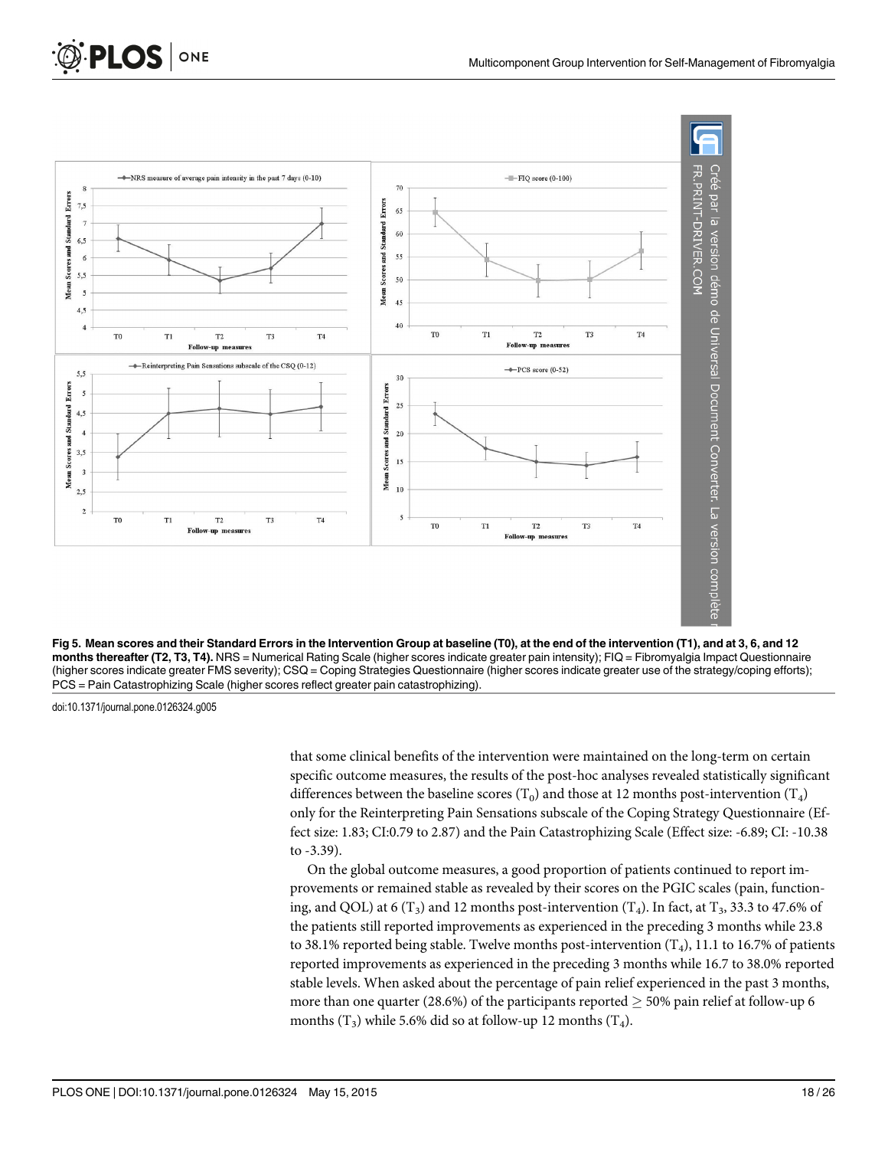<span id="page-17-0"></span>



doi:10.1371/journal.pone.0126324.g005

that some clinical benefits of the intervention were maintained on the long-term on certain specific outcome measures, the results of the post-hoc analyses revealed statistically significant differences between the baseline scores (T<sub>0</sub>) and those at 12 months post-intervention (T<sub>4</sub>) only for the Reinterpreting Pain Sensations subscale of the Coping Strategy Questionnaire (Effect size: 1.83; CI:0.79 to 2.87) and the Pain Catastrophizing Scale (Effect size: -6.89; CI: -10.38 to -3.39).

On the global outcome measures, a good proportion of patients continued to report improvements or remained stable as revealed by their scores on the PGIC scales (pain, functioning, and QOL) at 6 ( $T_3$ ) and 12 months post-intervention ( $T_4$ ). In fact, at  $T_3$ , 33.3 to 47.6% of the patients still reported improvements as experienced in the preceding 3 months while 23.8 to 38.1% reported being stable. Twelve months post-intervention  $(T_4)$ , 11.1 to 16.7% of patients reported improvements as experienced in the preceding 3 months while 16.7 to 38.0% reported stable levels. When asked about the percentage of pain relief experienced in the past 3 months, more than one quarter (28.6%) of the participants reported  $\geq$  50% pain relief at follow-up 6 months  $(T_3)$  while 5.6% did so at follow-up 12 months  $(T_4)$ .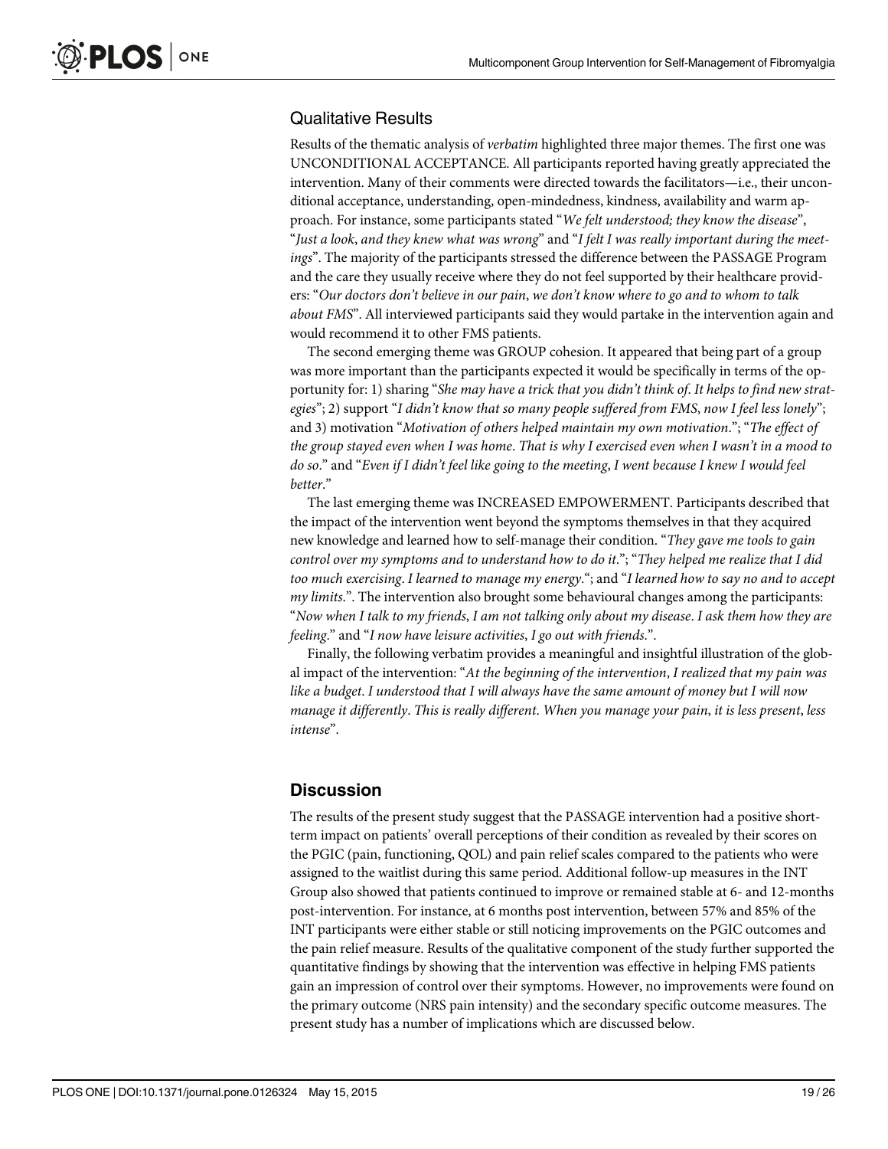### Qualitative Results

Results of the thematic analysis of verbatim highlighted three major themes. The first one was UNCONDITIONAL ACCEPTANCE. All participants reported having greatly appreciated the intervention. Many of their comments were directed towards the facilitators—i.e., their unconditional acceptance, understanding, open-mindedness, kindness, availability and warm approach. For instance, some participants stated "We felt understood; they know the disease", "Just a look, and they knew what was wrong" and "I felt I was really important during the meetings". The majority of the participants stressed the difference between the PASSAGE Program and the care they usually receive where they do not feel supported by their healthcare providers: "Our doctors don't believe in our pain, we don't know where to go and to whom to talk about FMS". All interviewed participants said they would partake in the intervention again and would recommend it to other FMS patients.

The second emerging theme was GROUP cohesion. It appeared that being part of a group was more important than the participants expected it would be specifically in terms of the opportunity for: 1) sharing "She may have a trick that you didn't think of. It helps to find new strategies"; 2) support "I didn't know that so many people suffered from FMS, now I feel less lonely"; and 3) motivation "Motivation of others helped maintain my own motivation."; "The effect of the group stayed even when I was home. That is why I exercised even when I wasn't in a mood to do so." and "Even if I didn't feel like going to the meeting, I went because I knew I would feel better."

The last emerging theme was INCREASED EMPOWERMENT. Participants described that the impact of the intervention went beyond the symptoms themselves in that they acquired new knowledge and learned how to self-manage their condition. "They gave me tools to gain control over my symptoms and to understand how to do it."; "They helped me realize that I did too much exercising. I learned to manage my energy."; and "I learned how to say no and to accept my limits.". The intervention also brought some behavioural changes among the participants: "Now when I talk to my friends, I am not talking only about my disease. I ask them how they are feeling." and "I now have leisure activities, I go out with friends.".

Finally, the following verbatim provides a meaningful and insightful illustration of the global impact of the intervention: "At the beginning of the intervention, I realized that my pain was like a budget. I understood that I will always have the same amount of money but I will now manage it differently. This is really different. When you manage your pain, it is less present, less intense".

# **Discussion**

The results of the present study suggest that the PASSAGE intervention had a positive shortterm impact on patients' overall perceptions of their condition as revealed by their scores on the PGIC (pain, functioning, QOL) and pain relief scales compared to the patients who were assigned to the waitlist during this same period. Additional follow-up measures in the INT Group also showed that patients continued to improve or remained stable at 6- and 12-months post-intervention. For instance, at 6 months post intervention, between 57% and 85% of the INT participants were either stable or still noticing improvements on the PGIC outcomes and the pain relief measure. Results of the qualitative component of the study further supported the quantitative findings by showing that the intervention was effective in helping FMS patients gain an impression of control over their symptoms. However, no improvements were found on the primary outcome (NRS pain intensity) and the secondary specific outcome measures. The present study has a number of implications which are discussed below.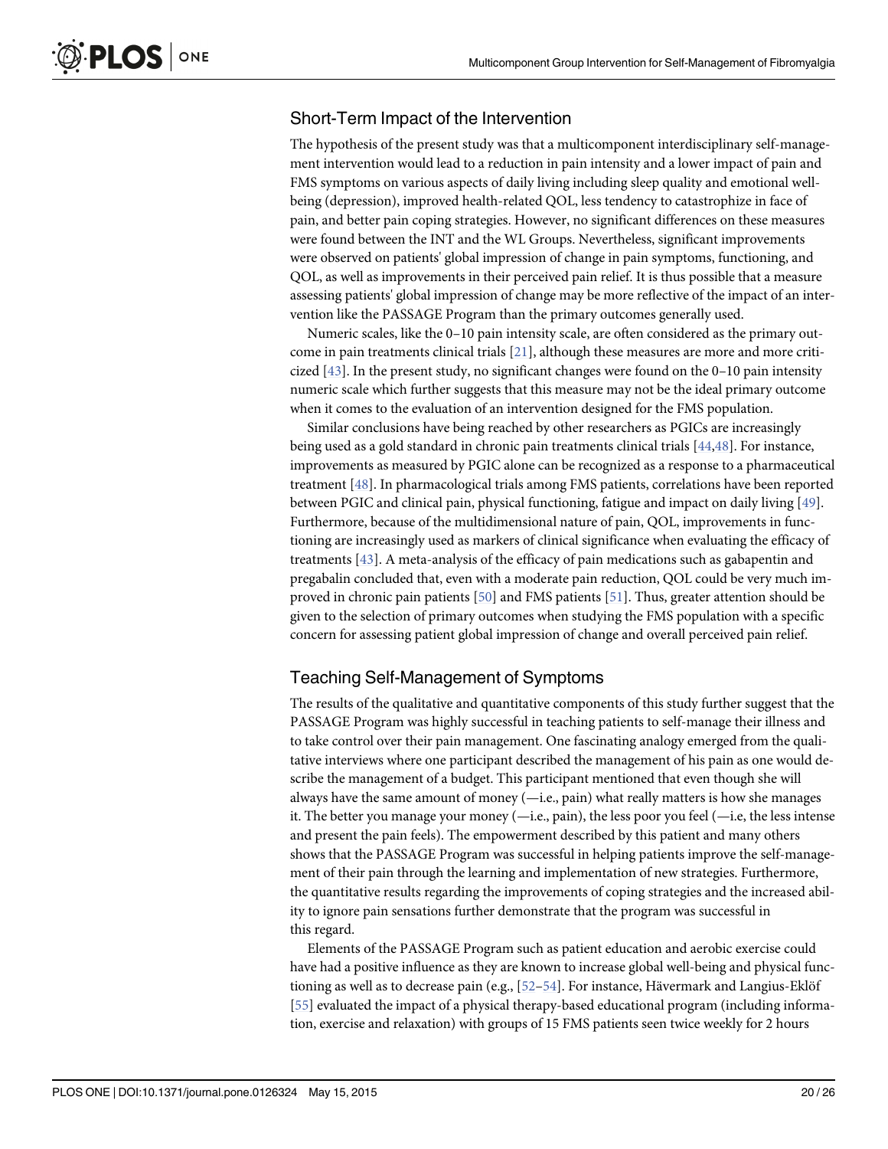# <span id="page-19-0"></span>Short-Term Impact of the Intervention

The hypothesis of the present study was that a multicomponent interdisciplinary self-management intervention would lead to a reduction in pain intensity and a lower impact of pain and FMS symptoms on various aspects of daily living including sleep quality and emotional wellbeing (depression), improved health-related QOL, less tendency to catastrophize in face of pain, and better pain coping strategies. However, no significant differences on these measures were found between the INT and the WL Groups. Nevertheless, significant improvements were observed on patients' global impression of change in pain symptoms, functioning, and QOL, as well as improvements in their perceived pain relief. It is thus possible that a measure assessing patients' global impression of change may be more reflective of the impact of an intervention like the PASSAGE Program than the primary outcomes generally used.

Numeric scales, like the 0–10 pain intensity scale, are often considered as the primary outcome in pain treatments clinical trials [[21](#page-23-0)], although these measures are more and more criticized  $[43]$  $[43]$ . In the present study, no significant changes were found on the 0–10 pain intensity numeric scale which further suggests that this measure may not be the ideal primary outcome when it comes to the evaluation of an intervention designed for the FMS population.

Similar conclusions have being reached by other researchers as PGICs are increasingly being used as a gold standard in chronic pain treatments clinical trials [\[44,48\]](#page-24-0). For instance, improvements as measured by PGIC alone can be recognized as a response to a pharmaceutical treatment [[48](#page-24-0)]. In pharmacological trials among FMS patients, correlations have been reported between PGIC and clinical pain, physical functioning, fatigue and impact on daily living [\[49\]](#page-24-0). Furthermore, because of the multidimensional nature of pain, QOL, improvements in functioning are increasingly used as markers of clinical significance when evaluating the efficacy of treatments [\[43\]](#page-24-0). A meta-analysis of the efficacy of pain medications such as gabapentin and pregabalin concluded that, even with a moderate pain reduction, QOL could be very much improved in chronic pain patients [[50](#page-24-0)] and FMS patients [\[51\]](#page-24-0). Thus, greater attention should be given to the selection of primary outcomes when studying the FMS population with a specific concern for assessing patient global impression of change and overall perceived pain relief.

# Teaching Self-Management of Symptoms

The results of the qualitative and quantitative components of this study further suggest that the PASSAGE Program was highly successful in teaching patients to self-manage their illness and to take control over their pain management. One fascinating analogy emerged from the qualitative interviews where one participant described the management of his pain as one would describe the management of a budget. This participant mentioned that even though she will always have the same amount of money (—i.e., pain) what really matters is how she manages it. The better you manage your money  $(-i.e., pain)$ , the less poor you feel  $(-i.e., the less intense$ and present the pain feels). The empowerment described by this patient and many others shows that the PASSAGE Program was successful in helping patients improve the self-management of their pain through the learning and implementation of new strategies. Furthermore, the quantitative results regarding the improvements of coping strategies and the increased ability to ignore pain sensations further demonstrate that the program was successful in this regard.

Elements of the PASSAGE Program such as patient education and aerobic exercise could have had a positive influence as they are known to increase global well-being and physical functioning as well as to decrease pain (e.g.,  $[52-54]$  $[52-54]$  $[52-54]$  $[52-54]$ . For instance, Hävermark and Langius-Eklöf [\[55](#page-24-0)] evaluated the impact of a physical therapy-based educational program (including information, exercise and relaxation) with groups of 15 FMS patients seen twice weekly for 2 hours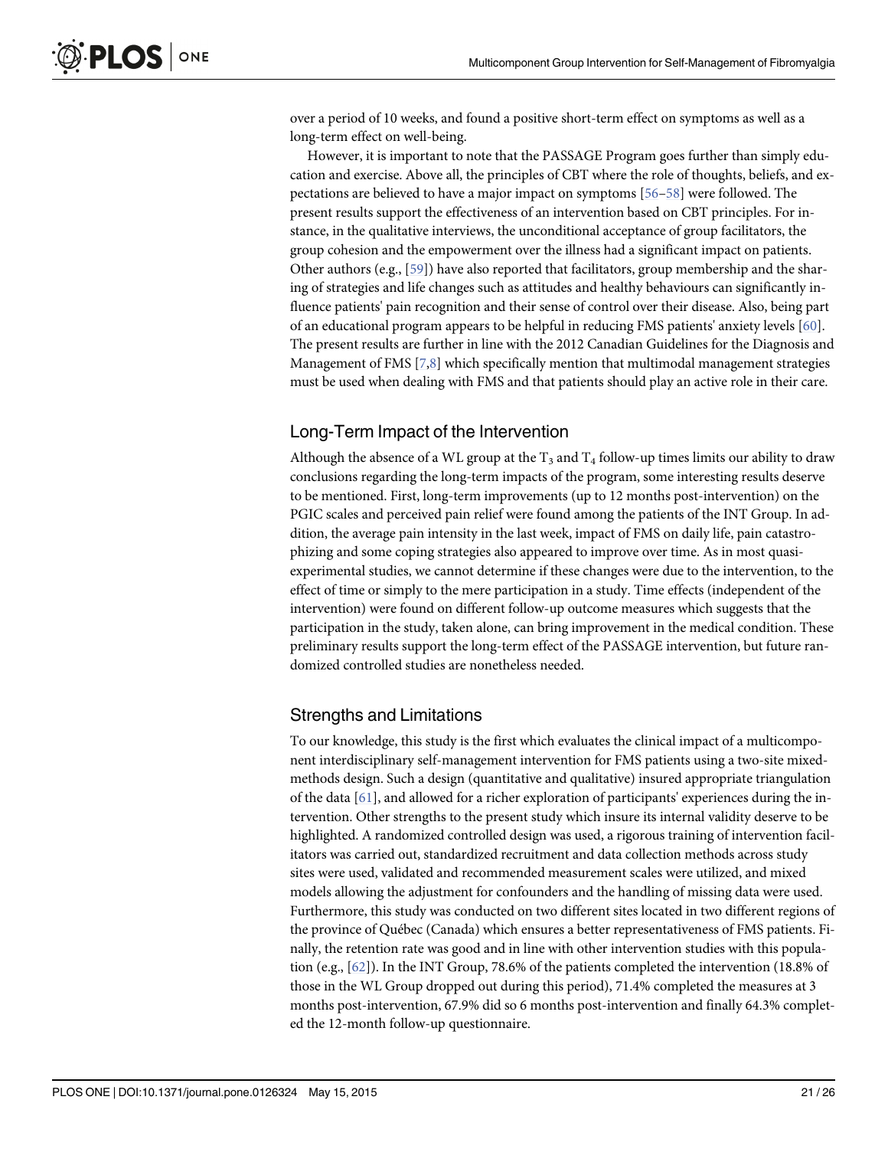<span id="page-20-0"></span>over a period of 10 weeks, and found a positive short-term effect on symptoms as well as a long-term effect on well-being.

However, it is important to note that the PASSAGE Program goes further than simply education and exercise. Above all, the principles of CBT where the role of thoughts, beliefs, and expectations are believed to have a major impact on symptoms [[56](#page-24-0)–[58\]](#page-25-0) were followed. The present results support the effectiveness of an intervention based on CBT principles. For instance, in the qualitative interviews, the unconditional acceptance of group facilitators, the group cohesion and the empowerment over the illness had a significant impact on patients. Other authors (e.g.,  $[59]$  $[59]$  $[59]$ ) have also reported that facilitators, group membership and the sharing of strategies and life changes such as attitudes and healthy behaviours can significantly influence patients' pain recognition and their sense of control over their disease. Also, being part of an educational program appears to be helpful in reducing FMS patients' anxiety levels [[60](#page-25-0)]. The present results are further in line with the 2012 Canadian Guidelines for the Diagnosis and Management of FMS [\[7,8](#page-22-0)] which specifically mention that multimodal management strategies must be used when dealing with FMS and that patients should play an active role in their care.

# Long-Term Impact of the Intervention

Although the absence of a WL group at the  $T_3$  and  $T_4$  follow-up times limits our ability to draw conclusions regarding the long-term impacts of the program, some interesting results deserve to be mentioned. First, long-term improvements (up to 12 months post-intervention) on the PGIC scales and perceived pain relief were found among the patients of the INT Group. In addition, the average pain intensity in the last week, impact of FMS on daily life, pain catastrophizing and some coping strategies also appeared to improve over time. As in most quasiexperimental studies, we cannot determine if these changes were due to the intervention, to the effect of time or simply to the mere participation in a study. Time effects (independent of the intervention) were found on different follow-up outcome measures which suggests that the participation in the study, taken alone, can bring improvement in the medical condition. These preliminary results support the long-term effect of the PASSAGE intervention, but future randomized controlled studies are nonetheless needed.

# Strengths and Limitations

To our knowledge, this study is the first which evaluates the clinical impact of a multicomponent interdisciplinary self-management intervention for FMS patients using a two-site mixedmethods design. Such a design (quantitative and qualitative) insured appropriate triangulation of the data  $[61]$  $[61]$ , and allowed for a richer exploration of participants' experiences during the intervention. Other strengths to the present study which insure its internal validity deserve to be highlighted. A randomized controlled design was used, a rigorous training of intervention facilitators was carried out, standardized recruitment and data collection methods across study sites were used, validated and recommended measurement scales were utilized, and mixed models allowing the adjustment for confounders and the handling of missing data were used. Furthermore, this study was conducted on two different sites located in two different regions of the province of Québec (Canada) which ensures a better representativeness of FMS patients. Finally, the retention rate was good and in line with other intervention studies with this population (e.g., [[62](#page-25-0)]). In the INT Group, 78.6% of the patients completed the intervention (18.8% of those in the WL Group dropped out during this period), 71.4% completed the measures at 3 months post-intervention, 67.9% did so 6 months post-intervention and finally 64.3% completed the 12-month follow-up questionnaire.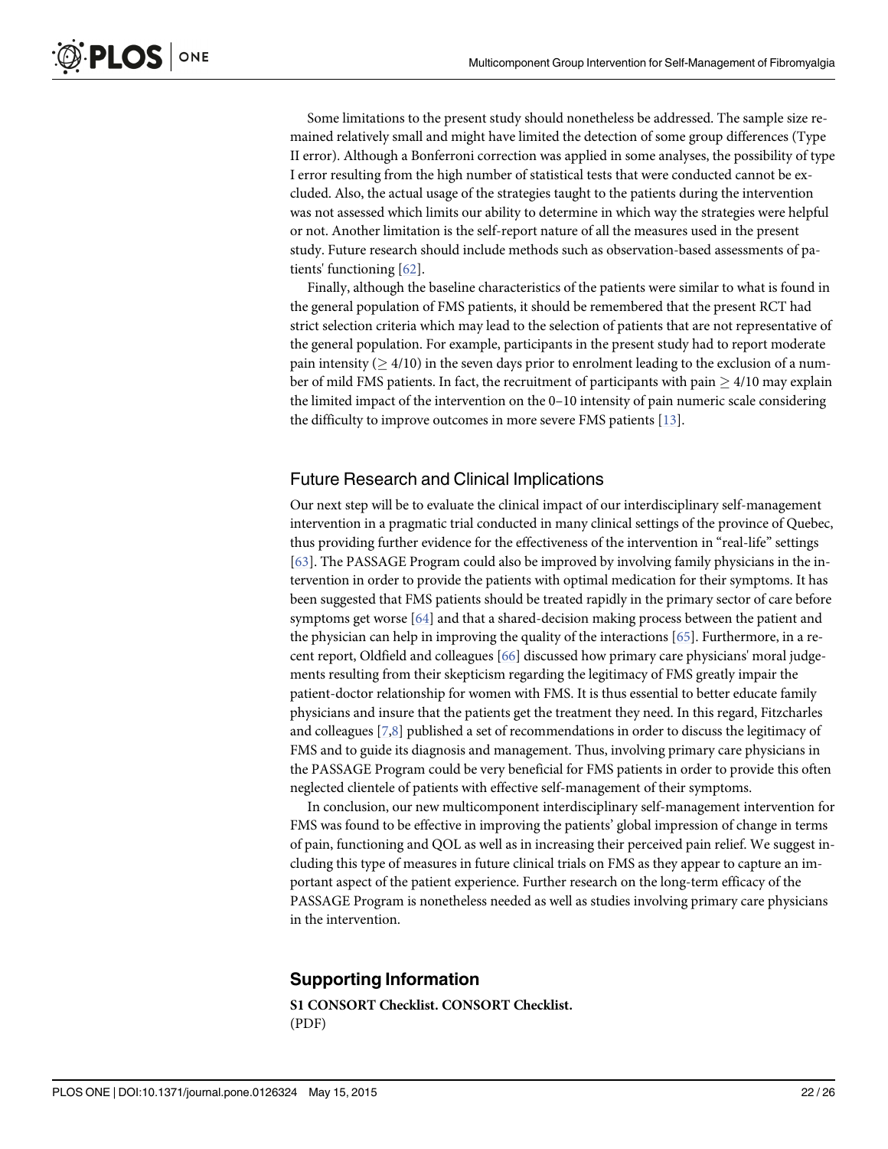<span id="page-21-0"></span>Some limitations to the present study should nonetheless be addressed. The sample size remained relatively small and might have limited the detection of some group differences (Type II error). Although a Bonferroni correction was applied in some analyses, the possibility of type I error resulting from the high number of statistical tests that were conducted cannot be excluded. Also, the actual usage of the strategies taught to the patients during the intervention was not assessed which limits our ability to determine in which way the strategies were helpful or not. Another limitation is the self-report nature of all the measures used in the present study. Future research should include methods such as observation-based assessments of patients' functioning [[62](#page-25-0)].

Finally, although the baseline characteristics of the patients were similar to what is found in the general population of FMS patients, it should be remembered that the present RCT had strict selection criteria which may lead to the selection of patients that are not representative of the general population. For example, participants in the present study had to report moderate pain intensity ( $> 4/10$ ) in the seven days prior to enrolment leading to the exclusion of a number of mild FMS patients. In fact, the recruitment of participants with pain  $\geq 4/10$  may explain the limited impact of the intervention on the 0–10 intensity of pain numeric scale considering the difficulty to improve outcomes in more severe FMS patients [\[13\]](#page-23-0).

#### Future Research and Clinical Implications

Our next step will be to evaluate the clinical impact of our interdisciplinary self-management intervention in a pragmatic trial conducted in many clinical settings of the province of Quebec, thus providing further evidence for the effectiveness of the intervention in "real-life" settings [\[63](#page-25-0)]. The PASSAGE Program could also be improved by involving family physicians in the intervention in order to provide the patients with optimal medication for their symptoms. It has been suggested that FMS patients should be treated rapidly in the primary sector of care before symptoms get worse  $[64]$  $[64]$  and that a shared-decision making process between the patient and the physician can help in improving the quality of the interactions [[65](#page-25-0)]. Furthermore, in a recent report, Oldfield and colleagues [\[66\]](#page-25-0) discussed how primary care physicians' moral judgements resulting from their skepticism regarding the legitimacy of FMS greatly impair the patient-doctor relationship for women with FMS. It is thus essential to better educate family physicians and insure that the patients get the treatment they need. In this regard, Fitzcharles and colleagues [\[7,8\]](#page-22-0) published a set of recommendations in order to discuss the legitimacy of FMS and to guide its diagnosis and management. Thus, involving primary care physicians in the PASSAGE Program could be very beneficial for FMS patients in order to provide this often neglected clientele of patients with effective self-management of their symptoms.

In conclusion, our new multicomponent interdisciplinary self-management intervention for FMS was found to be effective in improving the patients' global impression of change in terms of pain, functioning and QOL as well as in increasing their perceived pain relief. We suggest including this type of measures in future clinical trials on FMS as they appear to capture an important aspect of the patient experience. Further research on the long-term efficacy of the PASSAGE Program is nonetheless needed as well as studies involving primary care physicians in the intervention.

#### Supporting Information

[S1 CONSORT Checklist.](http://www.plosone.org/article/fetchSingleRepresentation.action?uri=info:doi/10.1371/journal.pone.0126324.s001) CONSORT Checklist. (PDF)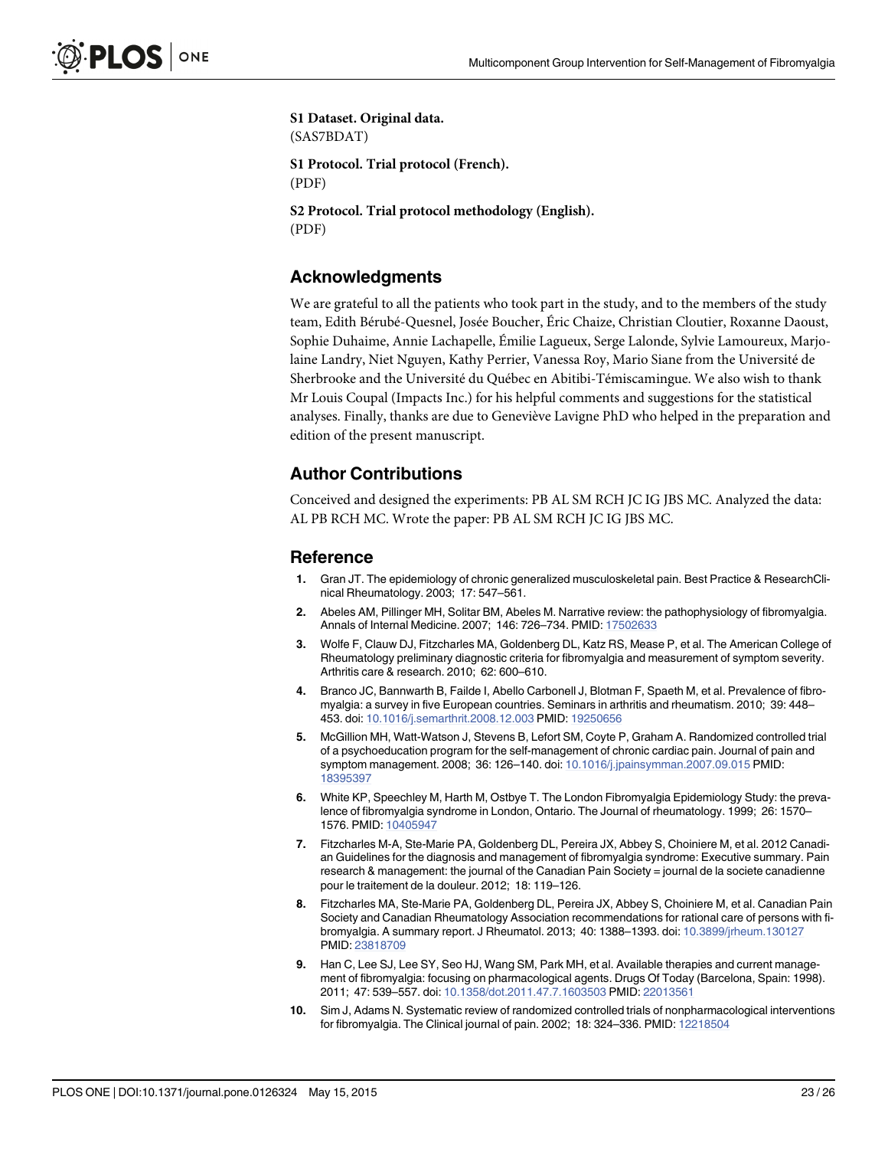<span id="page-22-0"></span>[S1 Dataset.](http://www.plosone.org/article/fetchSingleRepresentation.action?uri=info:doi/10.1371/journal.pone.0126324.s002) Original data. (SAS7BDAT) [S1 Protocol.](http://www.plosone.org/article/fetchSingleRepresentation.action?uri=info:doi/10.1371/journal.pone.0126324.s003) Trial protocol (French). (PDF) [S2 Protocol.](http://www.plosone.org/article/fetchSingleRepresentation.action?uri=info:doi/10.1371/journal.pone.0126324.s004) Trial protocol methodology (English). (PDF)

# Acknowledgments

We are grateful to all the patients who took part in the study, and to the members of the study team, Edith Bérubé-Quesnel, Josée Boucher, Éric Chaize, Christian Cloutier, Roxanne Daoust, Sophie Duhaime, Annie Lachapelle, Émilie Lagueux, Serge Lalonde, Sylvie Lamoureux, Marjolaine Landry, Niet Nguyen, Kathy Perrier, Vanessa Roy, Mario Siane from the Université de Sherbrooke and the Université du Québec en Abitibi-Témiscamingue. We also wish to thank Mr Louis Coupal (Impacts Inc.) for his helpful comments and suggestions for the statistical analyses. Finally, thanks are due to Geneviève Lavigne PhD who helped in the preparation and edition of the present manuscript.

# Author Contributions

Conceived and designed the experiments: PB AL SM RCH JC IG JBS MC. Analyzed the data: AL PB RCH MC. Wrote the paper: PB AL SM RCH JC IG JBS MC.

#### Reference

- [1.](#page-1-0) Gran JT. The epidemiology of chronic generalized musculoskeletal pain. Best Practice & ResearchClinical Rheumatology. 2003; 17: 547–561.
- [2.](#page-1-0) Abeles AM, Pillinger MH, Solitar BM, Abeles M. Narrative review: the pathophysiology of fibromyalgia. Annals of Internal Medicine. 2007; 146: 726-734. PMID: [17502633](http://www.ncbi.nlm.nih.gov/pubmed/17502633)
- [3.](#page-1-0) Wolfe F, Clauw DJ, Fitzcharles MA, Goldenberg DL, Katz RS, Mease P, et al. The American College of Rheumatology preliminary diagnostic criteria for fibromyalgia and measurement of symptom severity. Arthritis care & research. 2010; 62: 600–610.
- [4.](#page-12-0) Branco JC, Bannwarth B, Failde I, Abello Carbonell J, Blotman F, Spaeth M, et al. Prevalence of fibromyalgia: a survey in five European countries. Seminars in arthritis and rheumatism. 2010; 39: 448– 453. doi: [10.1016/j.semarthrit.2008.12.003](http://dx.doi.org/10.1016/j.semarthrit.2008.12.003) PMID: [19250656](http://www.ncbi.nlm.nih.gov/pubmed/19250656)
- 5. McGillion MH, Watt-Watson J, Stevens B, Lefort SM, Coyte P, Graham A. Randomized controlled trial of a psychoeducation program for the self-management of chronic cardiac pain. Journal of pain and symptom management. 2008; 36: 126–140. doi: [10.1016/j.jpainsymman.2007.09.015](http://dx.doi.org/10.1016/j.jpainsymman.2007.09.015) PMID: [18395397](http://www.ncbi.nlm.nih.gov/pubmed/18395397)
- [6.](#page-1-0) White KP, Speechley M, Harth M, Ostbye T. The London Fibromyalgia Epidemiology Study: the prevalence of fibromyalgia syndrome in London, Ontario. The Journal of rheumatology. 1999; 26: 1570– 1576. PMID: [10405947](http://www.ncbi.nlm.nih.gov/pubmed/10405947)
- [7.](#page-1-0) Fitzcharles M-A, Ste-Marie PA, Goldenberg DL, Pereira JX, Abbey S, Choiniere M, et al. 2012 Canadian Guidelines for the diagnosis and management of fibromyalgia syndrome: Executive summary. Pain research & management: the journal of the Canadian Pain Society = journal de la societe canadienne pour le traitement de la douleur. 2012; 18: 119–126.
- [8.](#page-1-0) Fitzcharles MA, Ste-Marie PA, Goldenberg DL, Pereira JX, Abbey S, Choiniere M, et al. Canadian Pain Society and Canadian Rheumatology Association recommendations for rational care of persons with fibromyalgia. A summary report. J Rheumatol. 2013; 40: 1388–1393. doi: [10.3899/jrheum.130127](http://dx.doi.org/10.3899/jrheum.130127) PMID: [23818709](http://www.ncbi.nlm.nih.gov/pubmed/23818709)
- [9.](#page-1-0) Han C, Lee SJ, Lee SY, Seo HJ, Wang SM, Park MH, et al. Available therapies and current management of fibromyalgia: focusing on pharmacological agents. Drugs Of Today (Barcelona, Spain: 1998). 2011; 47: 539–557. doi: [10.1358/dot.2011.47.7.1603503](http://dx.doi.org/10.1358/dot.2011.47.7.1603503) PMID: [22013561](http://www.ncbi.nlm.nih.gov/pubmed/22013561)
- [10.](#page-1-0) Sim J, Adams N. Systematic review of randomized controlled trials of nonpharmacological interventions for fibromyalgia. The Clinical journal of pain. 2002; 18: 324–336. PMID: [12218504](http://www.ncbi.nlm.nih.gov/pubmed/12218504)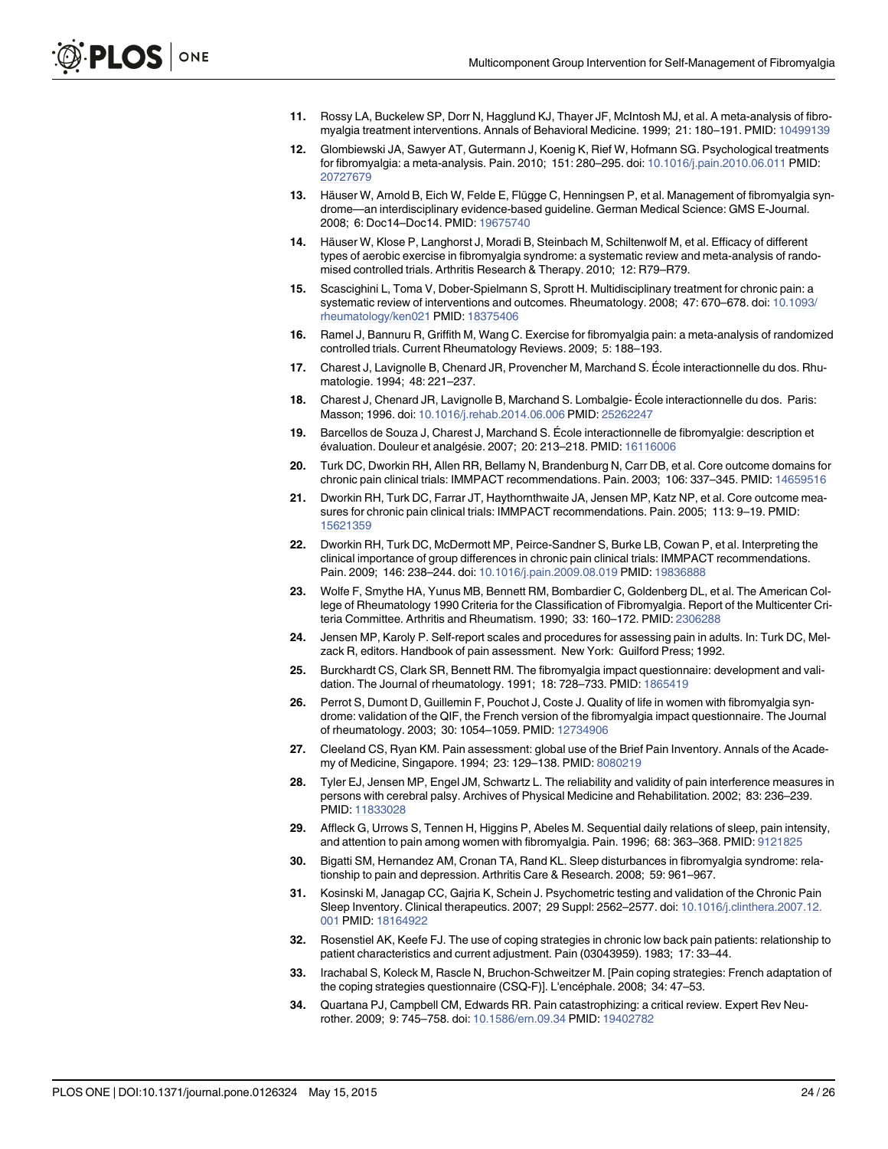- <span id="page-23-0"></span>[11.](#page-1-0) Rossy LA, Buckelew SP, Dorr N, Hagglund KJ, Thayer JF, McIntosh MJ, et al. A meta-analysis of fibromyalgia treatment interventions. Annals of Behavioral Medicine. 1999; 21: 180–191. PMID: [10499139](http://www.ncbi.nlm.nih.gov/pubmed/10499139)
- [12.](#page-1-0) Glombiewski JA, Sawyer AT, Gutermann J, Koenig K, Rief W, Hofmann SG. Psychological treatments for fibromyalgia: a meta-analysis. Pain. 2010; 151: 280–295. doi: [10.1016/j.pain.2010.06.011](http://dx.doi.org/10.1016/j.pain.2010.06.011) PMID: [20727679](http://www.ncbi.nlm.nih.gov/pubmed/20727679)
- [13.](#page-1-0) Häuser W, Arnold B, Eich W, Felde E, Flügge C, Henningsen P, et al. Management of fibromyalgia syndrome—an interdisciplinary evidence-based guideline. German Medical Science: GMS E-Journal. 2008; 6: Doc14–Doc14. PMID: [19675740](http://www.ncbi.nlm.nih.gov/pubmed/19675740)
- 14. Häuser W, Klose P, Langhorst J, Moradi B, Steinbach M, Schiltenwolf M, et al. Efficacy of different types of aerobic exercise in fibromyalgia syndrome: a systematic review and meta-analysis of randomised controlled trials. Arthritis Research & Therapy. 2010; 12: R79–R79.
- 15. Scascighini L, Toma V, Dober-Spielmann S, Sprott H. Multidisciplinary treatment for chronic pain: a systematic review of interventions and outcomes. Rheumatology. 2008; 47: 670–678. doi: [10.1093/](http://dx.doi.org/10.1093/rheumatology/ken021) [rheumatology/ken021](http://dx.doi.org/10.1093/rheumatology/ken021) PMID: [18375406](http://www.ncbi.nlm.nih.gov/pubmed/18375406)
- [16.](#page-1-0) Ramel J, Bannuru R, Griffith M, Wang C. Exercise for fibromyalgia pain: a meta-analysis of randomized controlled trials. Current Rheumatology Reviews. 2009; 5: 188–193.
- [17.](#page-1-0) Charest J, Lavignolle B, Chenard JR, Provencher M, Marchand S. École interactionnelle du dos. Rhumatologie. 1994; 48: 221–237.
- [18.](#page-1-0) Charest J, Chenard JR, Lavignolle B, Marchand S. Lombalgie- École interactionnelle du dos. Paris: Masson; 1996. doi: [10.1016/j.rehab.2014.06.006](http://dx.doi.org/10.1016/j.rehab.2014.06.006) PMID: [25262247](http://www.ncbi.nlm.nih.gov/pubmed/25262247)
- [19.](#page-1-0) Barcellos de Souza J, Charest J, Marchand S. École interactionnelle de fibromyalgie: description et évaluation. Douleur et analgésie. 2007; 20: 213–218. PMID: [16116006](http://www.ncbi.nlm.nih.gov/pubmed/16116006)
- [20.](#page-2-0) Turk DC, Dworkin RH, Allen RR, Bellamy N, Brandenburg N, Carr DB, et al. Core outcome domains for chronic pain clinical trials: IMMPACT recommendations. Pain. 2003; 106: 337–345. PMID: [14659516](http://www.ncbi.nlm.nih.gov/pubmed/14659516)
- [21.](#page-8-0) Dworkin RH, Turk DC, Farrar JT, Haythornthwaite JA, Jensen MP, Katz NP, et al. Core outcome measures for chronic pain clinical trials: IMMPACT recommendations. Pain. 2005; 113: 9–19. PMID: [15621359](http://www.ncbi.nlm.nih.gov/pubmed/15621359)
- [22.](#page-2-0) Dworkin RH, Turk DC, McDermott MP, Peirce-Sandner S, Burke LB, Cowan P, et al. Interpreting the clinical importance of group differences in chronic pain clinical trials: IMMPACT recommendations. Pain. 2009; 146: 238-244. doi: [10.1016/j.pain.2009.08.019](http://dx.doi.org/10.1016/j.pain.2009.08.019) PMID: [19836888](http://www.ncbi.nlm.nih.gov/pubmed/19836888)
- [23.](#page-4-0) Wolfe F, Smythe HA, Yunus MB, Bennett RM, Bombardier C, Goldenberg DL, et al. The American College of Rheumatology 1990 Criteria for the Classification of Fibromyalgia. Report of the Multicenter Criteria Committee. Arthritis and Rheumatism. 1990; 33: 160–172. PMID: [2306288](http://www.ncbi.nlm.nih.gov/pubmed/2306288)
- [24.](#page-8-0) Jensen MP, Karoly P. Self-report scales and procedures for assessing pain in adults. In: Turk DC, Melzack R, editors. Handbook of pain assessment. New York: Guilford Press; 1992.
- [25.](#page-9-0) Burckhardt CS, Clark SR, Bennett RM. The fibromyalgia impact questionnaire: development and validation. The Journal of rheumatology. 1991; 18: 728–733. PMID: [1865419](http://www.ncbi.nlm.nih.gov/pubmed/1865419)
- [26.](#page-9-0) Perrot S, Dumont D, Guillemin F, Pouchot J, Coste J. Quality of life in women with fibromyalgia syndrome: validation of the QIF, the French version of the fibromyalgia impact questionnaire. The Journal of rheumatology. 2003; 30: 1054–1059. PMID: [12734906](http://www.ncbi.nlm.nih.gov/pubmed/12734906)
- [27.](#page-9-0) Cleeland CS, Ryan KM. Pain assessment: global use of the Brief Pain Inventory. Annals of the Academy of Medicine, Singapore. 1994; 23: 129–138. PMID: [8080219](http://www.ncbi.nlm.nih.gov/pubmed/8080219)
- [28.](#page-9-0) Tyler EJ, Jensen MP, Engel JM, Schwartz L. The reliability and validity of pain interference measures in persons with cerebral palsy. Archives of Physical Medicine and Rehabilitation. 2002; 83: 236–239. PMID: [11833028](http://www.ncbi.nlm.nih.gov/pubmed/11833028)
- [29.](#page-9-0) Affleck G, Urrows S, Tennen H, Higgins P, Abeles M. Sequential daily relations of sleep, pain intensity, and attention to pain among women with fibromyalgia. Pain. 1996; 68: 363–368. PMID: [9121825](http://www.ncbi.nlm.nih.gov/pubmed/9121825)
- [30.](#page-9-0) Bigatti SM, Hernandez AM, Cronan TA, Rand KL. Sleep disturbances in fibromyalgia syndrome: relationship to pain and depression. Arthritis Care & Research. 2008; 59: 961–967.
- [31.](#page-9-0) Kosinski M, Janagap CC, Gajria K, Schein J. Psychometric testing and validation of the Chronic Pain Sleep Inventory. Clinical therapeutics. 2007; 29 Suppl: 2562–2577. doi: [10.1016/j.clinthera.2007.12.](http://dx.doi.org/10.1016/j.clinthera.2007.12.001) [001](http://dx.doi.org/10.1016/j.clinthera.2007.12.001) PMID: [18164922](http://www.ncbi.nlm.nih.gov/pubmed/18164922)
- [32.](#page-9-0) Rosenstiel AK, Keefe FJ. The use of coping strategies in chronic low back pain patients: relationship to patient characteristics and current adjustment. Pain (03043959). 1983; 17: 33–44.
- [33.](#page-9-0) Irachabal S, Koleck M, Rascle N, Bruchon-Schweitzer M. [Pain coping strategies: French adaptation of the coping strategies questionnaire (CSQ-F)]. L'encéphale. 2008; 34: 47–53.
- [34.](#page-9-0) Quartana PJ, Campbell CM, Edwards RR. Pain catastrophizing: a critical review. Expert Rev Neurother. 2009; 9: 745–758. doi: [10.1586/ern.09.34](http://dx.doi.org/10.1586/ern.09.34) PMID: [19402782](http://www.ncbi.nlm.nih.gov/pubmed/19402782)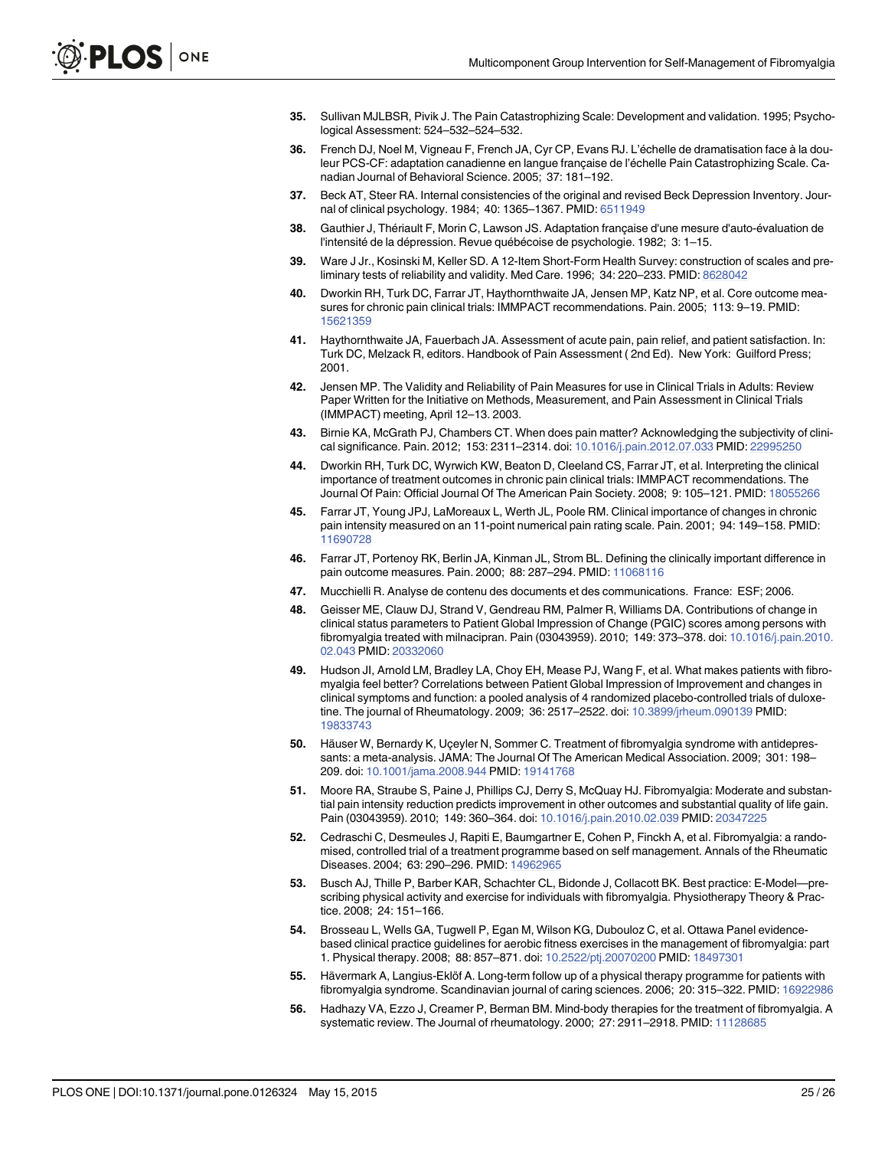- <span id="page-24-0"></span>[35.](#page-9-0) Sullivan MJLBSR, Pivik J. The Pain Catastrophizing Scale: Development and validation. 1995; Psychological Assessment: 524–532–524–532.
- [36.](#page-9-0) French DJ, Noel M, Vigneau F, French JA, Cyr CP, Evans RJ. L'échelle de dramatisation face à la douleur PCS-CF: adaptation canadienne en langue française de l'échelle Pain Catastrophizing Scale. Canadian Journal of Behavioral Science. 2005; 37: 181–192.
- [37.](#page-9-0) Beck AT, Steer RA. Internal consistencies of the original and revised Beck Depression Inventory. Journal of clinical psychology. 1984; 40: 1365–1367. PMID: [6511949](http://www.ncbi.nlm.nih.gov/pubmed/6511949)
- [38.](#page-9-0) Gauthier J, Thériault F, Morin C, Lawson JS. Adaptation française d'une mesure d'auto-évaluation de l'intensité de la dépression. Revue québécoise de psychologie. 1982; 3: 1–15.
- [39.](#page-9-0) Ware J Jr., Kosinski M, Keller SD. A 12-Item Short-Form Health Survey: construction of scales and preliminary tests of reliability and validity. Med Care. 1996; 34: 220–233. PMID: [8628042](http://www.ncbi.nlm.nih.gov/pubmed/8628042)
- [40.](#page-10-0) Dworkin RH, Turk DC, Farrar JT, Haythornthwaite JA, Jensen MP, Katz NP, et al. Core outcome measures for chronic pain clinical trials: IMMPACT recommendations. Pain. 2005; 113: 9–19. PMID: [15621359](http://www.ncbi.nlm.nih.gov/pubmed/15621359)
- [41.](#page-10-0) Haythornthwaite JA, Fauerbach JA. Assessment of acute pain, pain relief, and patient satisfaction. In: Turk DC, Melzack R, editors. Handbook of Pain Assessment ( 2nd Ed). New York: Guilford Press; 2001.
- [42.](#page-10-0) Jensen MP. The Validity and Reliability of Pain Measures for use in Clinical Trials in Adults: Review Paper Written for the Initiative on Methods, Measurement, and Pain Assessment in Clinical Trials (IMMPACT) meeting, April 12–13. 2003.
- [43.](#page-10-0) Birnie KA, McGrath PJ, Chambers CT. When does pain matter? Acknowledging the subjectivity of clinical significance. Pain. 2012; 153: 2311–2314. doi: [10.1016/j.pain.2012.07.033](http://dx.doi.org/10.1016/j.pain.2012.07.033) PMID: [22995250](http://www.ncbi.nlm.nih.gov/pubmed/22995250)
- [44.](#page-10-0) Dworkin RH, Turk DC, Wyrwich KW, Beaton D, Cleeland CS, Farrar JT, et al. Interpreting the clinical importance of treatment outcomes in chronic pain clinical trials: IMMPACT recommendations. The Journal Of Pain: Official Journal Of The American Pain Society. 2008; 9: 105–121. PMID: [18055266](http://www.ncbi.nlm.nih.gov/pubmed/18055266)
- 45. Farrar JT, Young JPJ, LaMoreaux L, Werth JL, Poole RM. Clinical importance of changes in chronic pain intensity measured on an 11-point numerical pain rating scale. Pain. 2001; 94: 149–158. PMID: [11690728](http://www.ncbi.nlm.nih.gov/pubmed/11690728)
- [46.](#page-10-0) Farrar JT, Portenoy RK, Berlin JA, Kinman JL, Strom BL. Defining the clinically important difference in pain outcome measures. Pain. 2000; 88: 287-294. PMID: [11068116](http://www.ncbi.nlm.nih.gov/pubmed/11068116)
- [47.](#page-11-0) Mucchielli R. Analyse de contenu des documents et des communications. France: ESF; 2006.
- [48.](#page-19-0) Geisser ME, Clauw DJ, Strand V, Gendreau RM, Palmer R, Williams DA. Contributions of change in clinical status parameters to Patient Global Impression of Change (PGIC) scores among persons with fibromyalgia treated with milnacipran. Pain (03043959). 2010; 149: 373–378. doi: [10.1016/j.pain.2010.](http://dx.doi.org/10.1016/j.pain.2010.02.043) [02.043](http://dx.doi.org/10.1016/j.pain.2010.02.043) PMID: [20332060](http://www.ncbi.nlm.nih.gov/pubmed/20332060)
- [49.](#page-19-0) Hudson JI, Arnold LM, Bradley LA, Choy EH, Mease PJ, Wang F, et al. What makes patients with fibromyalgia feel better? Correlations between Patient Global Impression of Improvement and changes in clinical symptoms and function: a pooled analysis of 4 randomized placebo-controlled trials of duloxetine. The journal of Rheumatology. 2009; 36: 2517–2522. doi: [10.3899/jrheum.090139](http://dx.doi.org/10.3899/jrheum.090139) PMID: [19833743](http://www.ncbi.nlm.nih.gov/pubmed/19833743)
- [50.](#page-19-0) Häuser W, Bernardy K, Uçeyler N, Sommer C. Treatment of fibromyalgia syndrome with antidepressants: a meta-analysis. JAMA: The Journal Of The American Medical Association. 2009; 301: 198– 209. doi: [10.1001/jama.2008.944](http://dx.doi.org/10.1001/jama.2008.944) PMID: [19141768](http://www.ncbi.nlm.nih.gov/pubmed/19141768)
- [51.](#page-19-0) Moore RA, Straube S, Paine J, Phillips CJ, Derry S, McQuay HJ. Fibromyalgia: Moderate and substantial pain intensity reduction predicts improvement in other outcomes and substantial quality of life gain. Pain (03043959). 2010; 149: 360–364. doi: [10.1016/j.pain.2010.02.039](http://dx.doi.org/10.1016/j.pain.2010.02.039) PMID: [20347225](http://www.ncbi.nlm.nih.gov/pubmed/20347225)
- [52.](#page-19-0) Cedraschi C, Desmeules J, Rapiti E, Baumgartner E, Cohen P, Finckh A, et al. Fibromyalgia: a randomised, controlled trial of a treatment programme based on self management. Annals of the Rheumatic Diseases. 2004; 63: 290–296. PMID: [14962965](http://www.ncbi.nlm.nih.gov/pubmed/14962965)
- 53. Busch AJ, Thille P, Barber KAR, Schachter CL, Bidonde J, Collacott BK. Best practice: E-Model—prescribing physical activity and exercise for individuals with fibromyalgia. Physiotherapy Theory & Practice. 2008; 24: 151–166.
- [54.](#page-19-0) Brosseau L, Wells GA, Tugwell P, Egan M, Wilson KG, Dubouloz C, et al. Ottawa Panel evidencebased clinical practice guidelines for aerobic fitness exercises in the management of fibromyalgia: part 1. Physical therapy. 2008; 88: 857–871. doi: [10.2522/ptj.20070200](http://dx.doi.org/10.2522/ptj.20070200) PMID: [18497301](http://www.ncbi.nlm.nih.gov/pubmed/18497301)
- [55.](#page-19-0) Hävermark A, Langius-Eklöf A. Long-term follow up of a physical therapy programme for patients with fibromyalgia syndrome. Scandinavian journal of caring sciences. 2006; 20: 315–322. PMID: [16922986](http://www.ncbi.nlm.nih.gov/pubmed/16922986)
- [56.](#page-20-0) Hadhazy VA, Ezzo J, Creamer P, Berman BM. Mind-body therapies for the treatment of fibromyalgia. A systematic review. The Journal of rheumatology. 2000; 27: 2911–2918. PMID: [11128685](http://www.ncbi.nlm.nih.gov/pubmed/11128685)